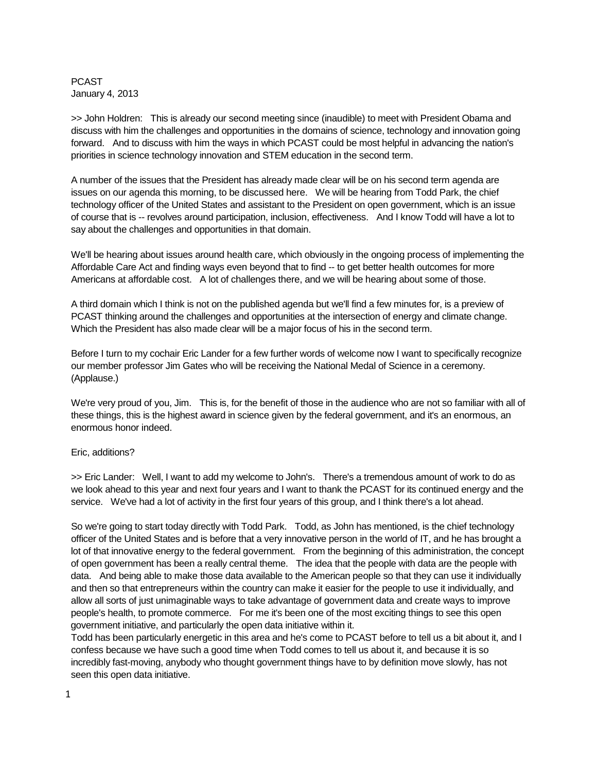PCAST January 4, 2013

>> John Holdren: This is already our second meeting since (inaudible) to meet with President Obama and discuss with him the challenges and opportunities in the domains of science, technology and innovation going forward. And to discuss with him the ways in which PCAST could be most helpful in advancing the nation's priorities in science technology innovation and STEM education in the second term.

A number of the issues that the President has already made clear will be on his second term agenda are issues on our agenda this morning, to be discussed here. We will be hearing from Todd Park, the chief technology officer of the United States and assistant to the President on open government, which is an issue of course that is -- revolves around participation, inclusion, effectiveness. And I know Todd will have a lot to say about the challenges and opportunities in that domain.

We'll be hearing about issues around health care, which obviously in the ongoing process of implementing the Affordable Care Act and finding ways even beyond that to find -- to get better health outcomes for more Americans at affordable cost. A lot of challenges there, and we will be hearing about some of those.

A third domain which I think is not on the published agenda but we'll find a few minutes for, is a preview of PCAST thinking around the challenges and opportunities at the intersection of energy and climate change. Which the President has also made clear will be a major focus of his in the second term.

Before I turn to my cochair Eric Lander for a few further words of welcome now I want to specifically recognize our member professor Jim Gates who will be receiving the National Medal of Science in a ceremony. (Applause.)

We're very proud of you, Jim. This is, for the benefit of those in the audience who are not so familiar with all of these things, this is the highest award in science given by the federal government, and it's an enormous, an enormous honor indeed.

## Eric, additions?

>> Eric Lander: Well, I want to add my welcome to John's. There's a tremendous amount of work to do as we look ahead to this year and next four years and I want to thank the PCAST for its continued energy and the service. We've had a lot of activity in the first four years of this group, and I think there's a lot ahead.

So we're going to start today directly with Todd Park. Todd, as John has mentioned, is the chief technology officer of the United States and is before that a very innovative person in the world of IT, and he has brought a lot of that innovative energy to the federal government. From the beginning of this administration, the concept of open government has been a really central theme. The idea that the people with data are the people with data. And being able to make those data available to the American people so that they can use it individually and then so that entrepreneurs within the country can make it easier for the people to use it individually, and allow all sorts of just unimaginable ways to take advantage of government data and create ways to improve people's health, to promote commerce. For me it's been one of the most exciting things to see this open government initiative, and particularly the open data initiative within it.

Todd has been particularly energetic in this area and he's come to PCAST before to tell us a bit about it, and I confess because we have such a good time when Todd comes to tell us about it, and because it is so incredibly fast-moving, anybody who thought government things have to by definition move slowly, has not seen this open data initiative.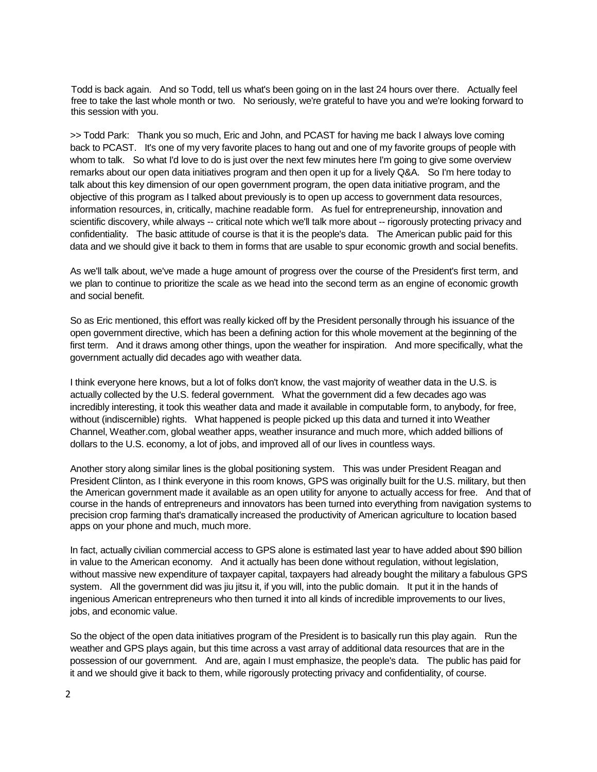Todd is back again. And so Todd, tell us what's been going on in the last 24 hours over there. Actually feel free to take the last whole month or two. No seriously, we're grateful to have you and we're looking forward to this session with you.

>> Todd Park: Thank you so much, Eric and John, and PCAST for having me back I always love coming back to PCAST. It's one of my very favorite places to hang out and one of my favorite groups of people with whom to talk. So what I'd love to do is just over the next few minutes here I'm going to give some overview remarks about our open data initiatives program and then open it up for a lively Q&A. So I'm here today to talk about this key dimension of our open government program, the open data initiative program, and the objective of this program as I talked about previously is to open up access to government data resources, information resources, in, critically, machine readable form. As fuel for entrepreneurship, innovation and scientific discovery, while always -- critical note which we'll talk more about -- rigorously protecting privacy and confidentiality. The basic attitude of course is that it is the people's data. The American public paid for this data and we should give it back to them in forms that are usable to spur economic growth and social benefits.

As we'll talk about, we've made a huge amount of progress over the course of the President's first term, and we plan to continue to prioritize the scale as we head into the second term as an engine of economic growth and social benefit.

So as Eric mentioned, this effort was really kicked off by the President personally through his issuance of the open government directive, which has been a defining action for this whole movement at the beginning of the first term. And it draws among other things, upon the weather for inspiration. And more specifically, what the government actually did decades ago with weather data.

I think everyone here knows, but a lot of folks don't know, the vast majority of weather data in the U.S. is actually collected by the U.S. federal government. What the government did a few decades ago was incredibly interesting, it took this weather data and made it available in computable form, to anybody, for free, without (indiscernible) rights. What happened is people picked up this data and turned it into Weather Channel, Weather.com, global weather apps, weather insurance and much more, which added billions of dollars to the U.S. economy, a lot of jobs, and improved all of our lives in countless ways.

Another story along similar lines is the global positioning system. This was under President Reagan and President Clinton, as I think everyone in this room knows, GPS was originally built for the U.S. military, but then the American government made it available as an open utility for anyone to actually access for free. And that of course in the hands of entrepreneurs and innovators has been turned into everything from navigation systems to precision crop farming that's dramatically increased the productivity of American agriculture to location based apps on your phone and much, much more.

In fact, actually civilian commercial access to GPS alone is estimated last year to have added about \$90 billion in value to the American economy. And it actually has been done without regulation, without legislation, without massive new expenditure of taxpayer capital, taxpayers had already bought the military a fabulous GPS system. All the government did was jiu jitsu it, if you will, into the public domain. It put it in the hands of ingenious American entrepreneurs who then turned it into all kinds of incredible improvements to our lives, jobs, and economic value.

So the object of the open data initiatives program of the President is to basically run this play again. Run the weather and GPS plays again, but this time across a vast array of additional data resources that are in the possession of our government. And are, again I must emphasize, the people's data. The public has paid for it and we should give it back to them, while rigorously protecting privacy and confidentiality, of course.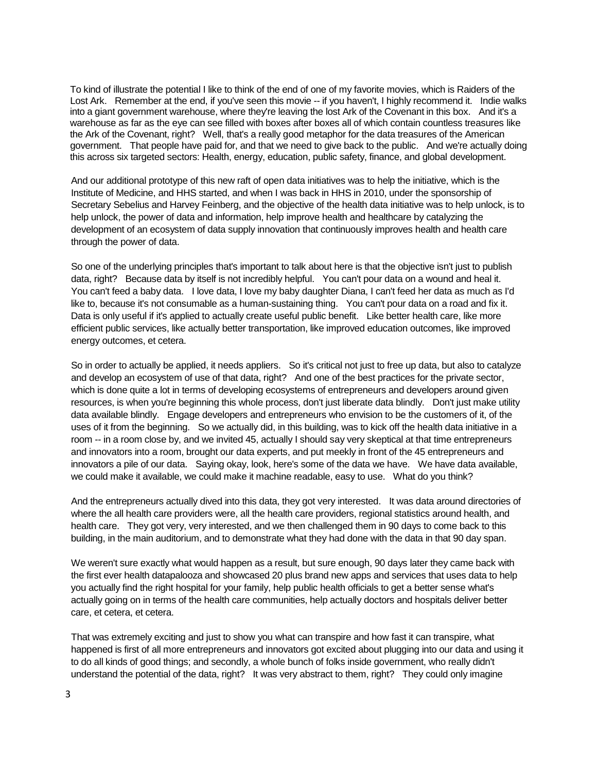To kind of illustrate the potential I like to think of the end of one of my favorite movies, which is Raiders of the Lost Ark. Remember at the end, if you've seen this movie -- if you haven't, I highly recommend it. Indie walks into a giant government warehouse, where they're leaving the lost Ark of the Covenant in this box. And it's a warehouse as far as the eye can see filled with boxes after boxes all of which contain countless treasures like the Ark of the Covenant, right? Well, that's a really good metaphor for the data treasures of the American government. That people have paid for, and that we need to give back to the public. And we're actually doing this across six targeted sectors: Health, energy, education, public safety, finance, and global development.

And our additional prototype of this new raft of open data initiatives was to help the initiative, which is the Institute of Medicine, and HHS started, and when I was back in HHS in 2010, under the sponsorship of Secretary Sebelius and Harvey Feinberg, and the objective of the health data initiative was to help unlock, is to help unlock, the power of data and information, help improve health and healthcare by catalyzing the development of an ecosystem of data supply innovation that continuously improves health and health care through the power of data.

So one of the underlying principles that's important to talk about here is that the objective isn't just to publish data, right? Because data by itself is not incredibly helpful. You can't pour data on a wound and heal it. You can't feed a baby data. I love data, I love my baby daughter Diana, I can't feed her data as much as I'd like to, because it's not consumable as a human-sustaining thing. You can't pour data on a road and fix it. Data is only useful if it's applied to actually create useful public benefit. Like better health care, like more efficient public services, like actually better transportation, like improved education outcomes, like improved energy outcomes, et cetera.

So in order to actually be applied, it needs appliers. So it's critical not just to free up data, but also to catalyze and develop an ecosystem of use of that data, right? And one of the best practices for the private sector, which is done quite a lot in terms of developing ecosystems of entrepreneurs and developers around given resources, is when you're beginning this whole process, don't just liberate data blindly. Don't just make utility data available blindly. Engage developers and entrepreneurs who envision to be the customers of it, of the uses of it from the beginning. So we actually did, in this building, was to kick off the health data initiative in a room -- in a room close by, and we invited 45, actually I should say very skeptical at that time entrepreneurs and innovators into a room, brought our data experts, and put meekly in front of the 45 entrepreneurs and innovators a pile of our data. Saying okay, look, here's some of the data we have. We have data available, we could make it available, we could make it machine readable, easy to use. What do you think?

And the entrepreneurs actually dived into this data, they got very interested. It was data around directories of where the all health care providers were, all the health care providers, regional statistics around health, and health care. They got very, very interested, and we then challenged them in 90 days to come back to this building, in the main auditorium, and to demonstrate what they had done with the data in that 90 day span.

We weren't sure exactly what would happen as a result, but sure enough, 90 days later they came back with the first ever health datapalooza and showcased 20 plus brand new apps and services that uses data to help you actually find the right hospital for your family, help public health officials to get a better sense what's actually going on in terms of the health care communities, help actually doctors and hospitals deliver better care, et cetera, et cetera.

That was extremely exciting and just to show you what can transpire and how fast it can transpire, what happened is first of all more entrepreneurs and innovators got excited about plugging into our data and using it to do all kinds of good things; and secondly, a whole bunch of folks inside government, who really didn't understand the potential of the data, right? It was very abstract to them, right? They could only imagine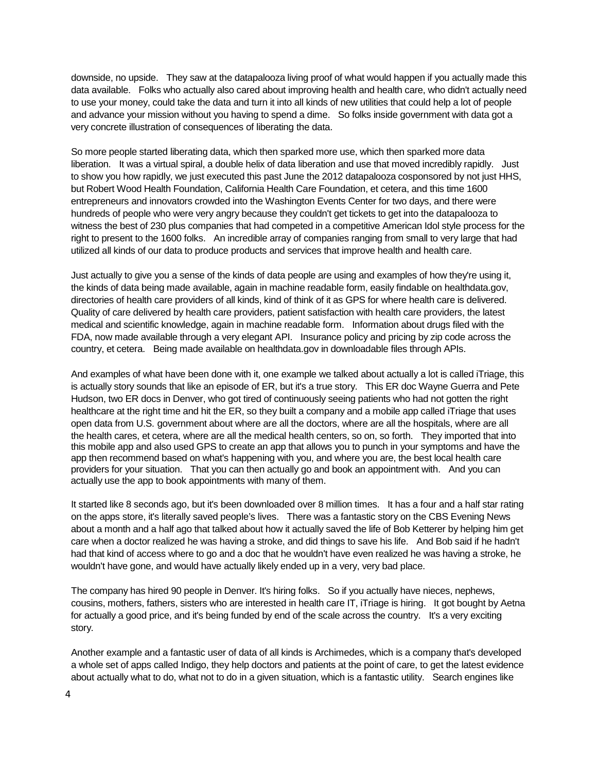downside, no upside. They saw at the datapalooza living proof of what would happen if you actually made this data available. Folks who actually also cared about improving health and health care, who didn't actually need to use your money, could take the data and turn it into all kinds of new utilities that could help a lot of people and advance your mission without you having to spend a dime. So folks inside government with data got a very concrete illustration of consequences of liberating the data.

So more people started liberating data, which then sparked more use, which then sparked more data liberation. It was a virtual spiral, a double helix of data liberation and use that moved incredibly rapidly. Just to show you how rapidly, we just executed this past June the 2012 datapalooza cosponsored by not just HHS, but Robert Wood Health Foundation, California Health Care Foundation, et cetera, and this time 1600 entrepreneurs and innovators crowded into the Washington Events Center for two days, and there were hundreds of people who were very angry because they couldn't get tickets to get into the datapalooza to witness the best of 230 plus companies that had competed in a competitive American Idol style process for the right to present to the 1600 folks. An incredible array of companies ranging from small to very large that had utilized all kinds of our data to produce products and services that improve health and health care.

Just actually to give you a sense of the kinds of data people are using and examples of how they're using it, the kinds of data being made available, again in machine readable form, easily findable on healthdata.gov, directories of health care providers of all kinds, kind of think of it as GPS for where health care is delivered. Quality of care delivered by health care providers, patient satisfaction with health care providers, the latest medical and scientific knowledge, again in machine readable form. Information about drugs filed with the FDA, now made available through a very elegant API. Insurance policy and pricing by zip code across the country, et cetera. Being made available on healthdata.gov in downloadable files through APIs.

And examples of what have been done with it, one example we talked about actually a lot is called iTriage, this is actually story sounds that like an episode of ER, but it's a true story. This ER doc Wayne Guerra and Pete Hudson, two ER docs in Denver, who got tired of continuously seeing patients who had not gotten the right healthcare at the right time and hit the ER, so they built a company and a mobile app called iTriage that uses open data from U.S. government about where are all the doctors, where are all the hospitals, where are all the health cares, et cetera, where are all the medical health centers, so on, so forth. They imported that into this mobile app and also used GPS to create an app that allows you to punch in your symptoms and have the app then recommend based on what's happening with you, and where you are, the best local health care providers for your situation. That you can then actually go and book an appointment with. And you can actually use the app to book appointments with many of them.

It started like 8 seconds ago, but it's been downloaded over 8 million times. It has a four and a half star rating on the apps store, it's literally saved people's lives. There was a fantastic story on the CBS Evening News about a month and a half ago that talked about how it actually saved the life of Bob Ketterer by helping him get care when a doctor realized he was having a stroke, and did things to save his life. And Bob said if he hadn't had that kind of access where to go and a doc that he wouldn't have even realized he was having a stroke, he wouldn't have gone, and would have actually likely ended up in a very, very bad place.

The company has hired 90 people in Denver. It's hiring folks. So if you actually have nieces, nephews, cousins, mothers, fathers, sisters who are interested in health care IT, iTriage is hiring. It got bought by Aetna for actually a good price, and it's being funded by end of the scale across the country. It's a very exciting story.

Another example and a fantastic user of data of all kinds is Archimedes, which is a company that's developed a whole set of apps called Indigo, they help doctors and patients at the point of care, to get the latest evidence about actually what to do, what not to do in a given situation, which is a fantastic utility. Search engines like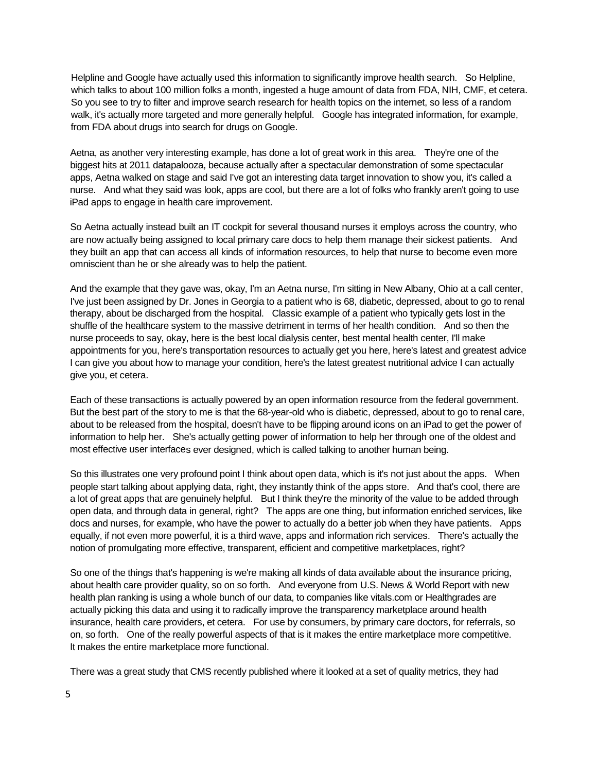Helpline and Google have actually used this information to significantly improve health search. So Helpline, which talks to about 100 million folks a month, ingested a huge amount of data from FDA, NIH, CMF, et cetera. So you see to try to filter and improve search research for health topics on the internet, so less of a random walk, it's actually more targeted and more generally helpful. Google has integrated information, for example, from FDA about drugs into search for drugs on Google.

Aetna, as another very interesting example, has done a lot of great work in this area. They're one of the biggest hits at 2011 datapalooza, because actually after a spectacular demonstration of some spectacular apps, Aetna walked on stage and said I've got an interesting data target innovation to show you, it's called a nurse. And what they said was look, apps are cool, but there are a lot of folks who frankly aren't going to use iPad apps to engage in health care improvement.

So Aetna actually instead built an IT cockpit for several thousand nurses it employs across the country, who are now actually being assigned to local primary care docs to help them manage their sickest patients. And they built an app that can access all kinds of information resources, to help that nurse to become even more omniscient than he or she already was to help the patient.

And the example that they gave was, okay, I'm an Aetna nurse, I'm sitting in New Albany, Ohio at a call center, I've just been assigned by Dr. Jones in Georgia to a patient who is 68, diabetic, depressed, about to go to renal therapy, about be discharged from the hospital. Classic example of a patient who typically gets lost in the shuffle of the healthcare system to the massive detriment in terms of her health condition. And so then the nurse proceeds to say, okay, here is the best local dialysis center, best mental health center, I'll make appointments for you, here's transportation resources to actually get you here, here's latest and greatest advice I can give you about how to manage your condition, here's the latest greatest nutritional advice I can actually give you, et cetera.

Each of these transactions is actually powered by an open information resource from the federal government. But the best part of the story to me is that the 68-year-old who is diabetic, depressed, about to go to renal care, about to be released from the hospital, doesn't have to be flipping around icons on an iPad to get the power of information to help her. She's actually getting power of information to help her through one of the oldest and most effective user interfaces ever designed, which is called talking to another human being.

So this illustrates one very profound point I think about open data, which is it's not just about the apps. When people start talking about applying data, right, they instantly think of the apps store. And that's cool, there are a lot of great apps that are genuinely helpful. But I think they're the minority of the value to be added through open data, and through data in general, right? The apps are one thing, but information enriched services, like docs and nurses, for example, who have the power to actually do a better job when they have patients. Apps equally, if not even more powerful, it is a third wave, apps and information rich services. There's actually the notion of promulgating more effective, transparent, efficient and competitive marketplaces, right?

So one of the things that's happening is we're making all kinds of data available about the insurance pricing, about health care provider quality, so on so forth. And everyone from U.S. News & World Report with new health plan ranking is using a whole bunch of our data, to companies like vitals.com or Healthgrades are actually picking this data and using it to radically improve the transparency marketplace around health insurance, health care providers, et cetera. For use by consumers, by primary care doctors, for referrals, so on, so forth. One of the really powerful aspects of that is it makes the entire marketplace more competitive. It makes the entire marketplace more functional.

There was a great study that CMS recently published where it looked at a set of quality metrics, they had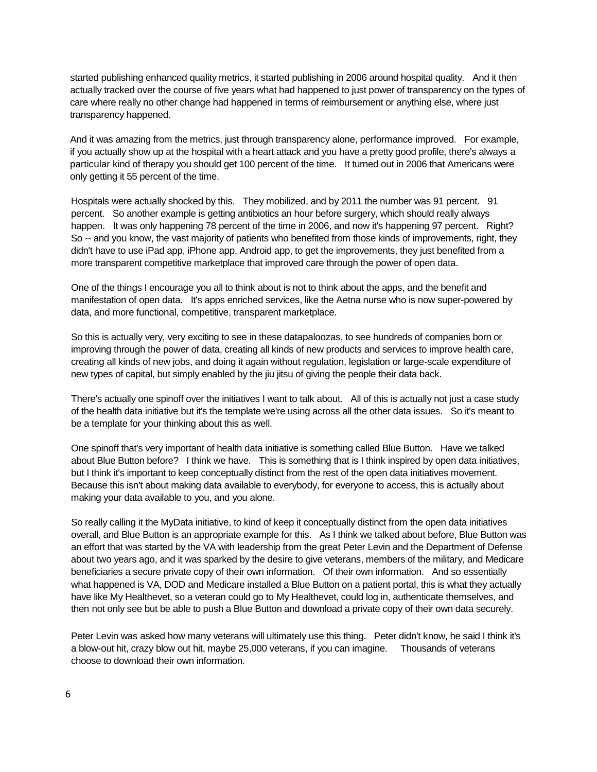started publishing enhanced quality metrics, it started publishing in 2006 around hospital quality. And it then actually tracked over the course of five years what had happened to just power of transparency on the types of care where really no other change had happened in terms of reimbursement or anything else, where just transparency happened.

And it was amazing from the metrics, just through transparency alone, performance improved. For example, if you actually show up at the hospital with a heart attack and you have a pretty good profile, there's always a particular kind of therapy you should get 100 percent of the time. It turned out in 2006 that Americans were only getting it 55 percent of the time.

Hospitals were actually shocked by this. They mobilized, and by 2011 the number was 91 percent. 91 percent. So another example is getting antibiotics an hour before surgery, which should really always happen. It was only happening 78 percent of the time in 2006, and now it's happening 97 percent. Right? So -- and you know, the vast majority of patients who benefited from those kinds of improvements, right, they didn't have to use iPad app, iPhone app, Android app, to get the improvements, they just benefited from a more transparent competitive marketplace that improved care through the power of open data.

One of the things I encourage you all to think about is not to think about the apps, and the benefit and manifestation of open data. It's apps enriched services, like the Aetna nurse who is now super-powered by data, and more functional, competitive, transparent marketplace.

So this is actually very, very exciting to see in these datapaloozas, to see hundreds of companies born or improving through the power of data, creating all kinds of new products and services to improve health care, creating all kinds of new jobs, and doing it again without regulation, legislation or large-scale expenditure of new types of capital, but simply enabled by the jiu jitsu of giving the people their data back.

There's actually one spinoff over the initiatives I want to talk about. All of this is actually not just a case study of the health data initiative but it's the template we're using across all the other data issues. So it's meant to be a template for your thinking about this as well.

One spinoff that's very important of health data initiative is something called Blue Button. Have we talked about Blue Button before? I think we have. This is something that is I think inspired by open data initiatives, but I think it's important to keep conceptually distinct from the rest of the open data initiatives movement. Because this isn't about making data available to everybody, for everyone to access, this is actually about making your data available to you, and you alone.

So really calling it the MyData initiative, to kind of keep it conceptually distinct from the open data initiatives overall, and Blue Button is an appropriate example for this. As I think we talked about before, Blue Button was an effort that was started by the VA with leadership from the great Peter Levin and the Department of Defense about two years ago, and it was sparked by the desire to give veterans, members of the military, and Medicare beneficiaries a secure private copy of their own information. Of their own information. And so essentially what happened is VA, DOD and Medicare installed a Blue Button on a patient portal, this is what they actually have like My Healthevet, so a veteran could go to My Healthevet, could log in, authenticate themselves, and then not only see but be able to push a Blue Button and download a private copy of their own data securely.

Peter Levin was asked how many veterans will ultimately use this thing. Peter didn't know, he said I think it's a blow-out hit, crazy blow out hit, maybe 25,000 veterans, if you can imagine. Thousands of veterans choose to download their own information.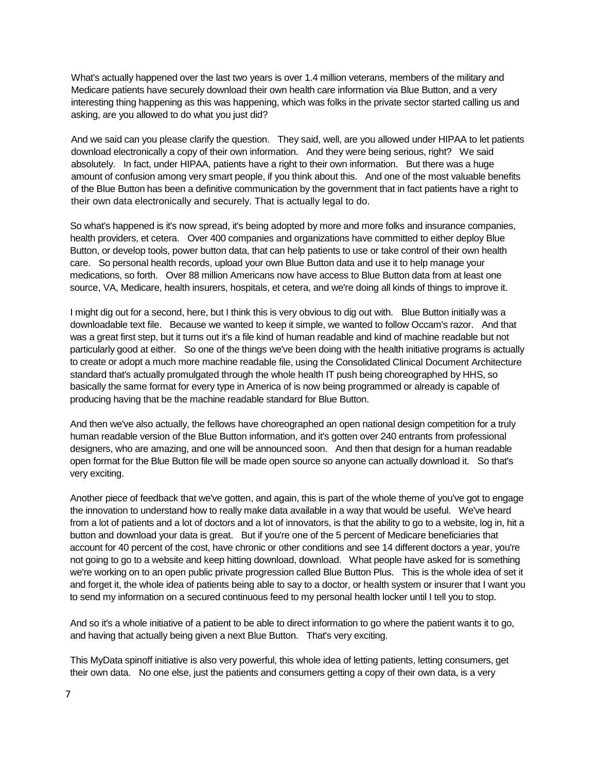What's actually happened over the last two years is over 1.4 million veterans, members of the military and Medicare patients have securely download their own health care information via Blue Button, and a very interesting thing happening as this was happening, which was folks in the private sector started calling us and asking, are you allowed to do what you just did?

And we said can you please clarify the question. They said, well, are you allowed under HIPAA to let patients download electronically a copy of their own information. And they were being serious, right? We said absolutely. In fact, under HIPAA, patients have a right to their own information. But there was a huge amount of confusion among very smart people, if you think about this. And one of the most valuable benefits of the Blue Button has been a definitive communication by the government that in fact patients have a right to their own data electronically and securely. That is actually legal to do.

So what's happened is it's now spread, it's being adopted by more and more folks and insurance companies, health providers, et cetera. Over 400 companies and organizations have committed to either deploy Blue Button, or develop tools, power button data, that can help patients to use or take control of their own health care. So personal health records, upload your own Blue Button data and use it to help manage your medications, so forth. Over 88 million Americans now have access to Blue Button data from at least one source, VA, Medicare, health insurers, hospitals, et cetera, and we're doing all kinds of things to improve it.

I might dig out for a second, here, but I think this is very obvious to dig out with. Blue Button initially was a downloadable text file. Because we wanted to keep it simple, we wanted to follow Occam's razor. And that was a great first step, but it turns out it's a file kind of human readable and kind of machine readable but not particularly good at either. So one of the things we've been doing with the health initiative programs is actually to create or adopt a much more machine readable file, using the Consolidated Clinical Document Architecture standard that's actually promulgated through the whole health IT push being choreographed by HHS, so basically the same format for every type in America of is now being programmed or already is capable of producing having that be the machine readable standard for Blue Button.

And then we've also actually, the fellows have choreographed an open national design competition for a truly human readable version of the Blue Button information, and it's gotten over 240 entrants from professional designers, who are amazing, and one will be announced soon. And then that design for a human readable open format for the Blue Button file will be made open source so anyone can actually download it. So that's very exciting.

Another piece of feedback that we've gotten, and again, this is part of the whole theme of you've got to engage the innovation to understand how to really make data available in a way that would be useful. We've heard from a lot of patients and a lot of doctors and a lot of innovators, is that the ability to go to a website, log in, hit a button and download your data is great. But if you're one of the 5 percent of Medicare beneficiaries that account for 40 percent of the cost, have chronic or other conditions and see 14 different doctors a year, you're not going to go to a website and keep hitting download, download. What people have asked for is something we're working on to an open public private progression called Blue Button Plus. This is the whole idea of set it and forget it, the whole idea of patients being able to say to a doctor, or health system or insurer that I want you to send my information on a secured continuous feed to my personal health locker until I tell you to stop.

And so it's a whole initiative of a patient to be able to direct information to go where the patient wants it to go, and having that actually being given a next Blue Button. That's very exciting.

This MyData spinoff initiative is also very powerful, this whole idea of letting patients, letting consumers, get their own data. No one else, just the patients and consumers getting a copy of their own data, is a very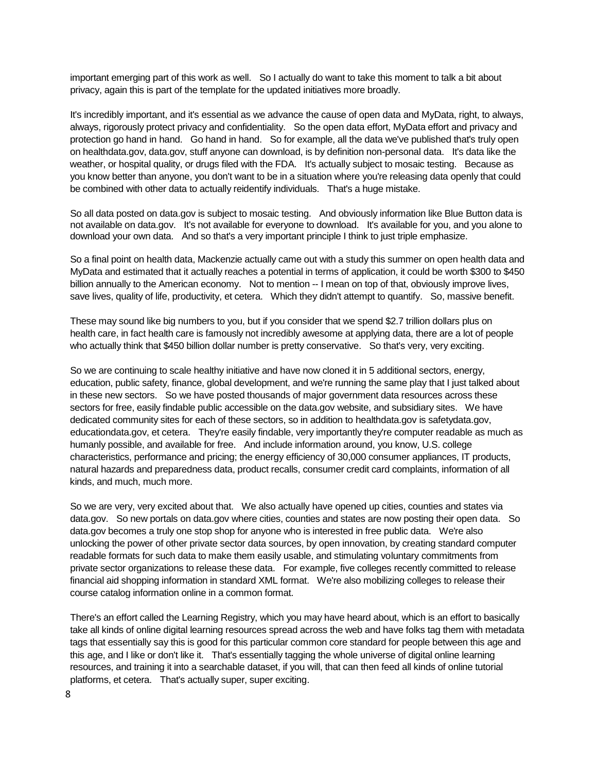important emerging part of this work as well. So I actually do want to take this moment to talk a bit about privacy, again this is part of the template for the updated initiatives more broadly.

It's incredibly important, and it's essential as we advance the cause of open data and MyData, right, to always, always, rigorously protect privacy and confidentiality. So the open data effort, MyData effort and privacy and protection go hand in hand. Go hand in hand. So for example, all the data we've published that's truly open on healthdata.gov, data.gov, stuff anyone can download, is by definition non-personal data. It's data like the weather, or hospital quality, or drugs filed with the FDA. It's actually subject to mosaic testing. Because as you know better than anyone, you don't want to be in a situation where you're releasing data openly that could be combined with other data to actually reidentify individuals. That's a huge mistake.

So all data posted on data.gov is subject to mosaic testing. And obviously information like Blue Button data is not available on data.gov. It's not available for everyone to download. It's available for you, and you alone to download your own data. And so that's a very important principle I think to just triple emphasize.

So a final point on health data, Mackenzie actually came out with a study this summer on open health data and MyData and estimated that it actually reaches a potential in terms of application, it could be worth \$300 to \$450 billion annually to the American economy. Not to mention -- I mean on top of that, obviously improve lives, save lives, quality of life, productivity, et cetera. Which they didn't attempt to quantify. So, massive benefit.

These may sound like big numbers to you, but if you consider that we spend \$2.7 trillion dollars plus on health care, in fact health care is famously not incredibly awesome at applying data, there are a lot of people who actually think that \$450 billion dollar number is pretty conservative. So that's very, very exciting.

So we are continuing to scale healthy initiative and have now cloned it in 5 additional sectors, energy, education, public safety, finance, global development, and we're running the same play that I just talked about in these new sectors. So we have posted thousands of major government data resources across these sectors for free, easily findable public accessible on the data.gov website, and subsidiary sites. We have dedicated community sites for each of these sectors, so in addition to healthdata.gov is safetydata.gov, educationdata.gov, et cetera. They're easily findable, very importantly they're computer readable as much as humanly possible, and available for free. And include information around, you know, U.S. college characteristics, performance and pricing; the energy efficiency of 30,000 consumer appliances, IT products, natural hazards and preparedness data, product recalls, consumer credit card complaints, information of all kinds, and much, much more.

So we are very, very excited about that. We also actually have opened up cities, counties and states via data.gov. So new portals on data.gov where cities, counties and states are now posting their open data. So data.gov becomes a truly one stop shop for anyone who is interested in free public data. We're also unlocking the power of other private sector data sources, by open innovation, by creating standard computer readable formats for such data to make them easily usable, and stimulating voluntary commitments from private sector organizations to release these data. For example, five colleges recently committed to release financial aid shopping information in standard XML format. We're also mobilizing colleges to release their course catalog information online in a common format.

There's an effort called the Learning Registry, which you may have heard about, which is an effort to basically take all kinds of online digital learning resources spread across the web and have folks tag them with metadata tags that essentially say this is good for this particular common core standard for people between this age and this age, and I like or don't like it. That's essentially tagging the whole universe of digital online learning resources, and training it into a searchable dataset, if you will, that can then feed all kinds of online tutorial platforms, et cetera. That's actually super, super exciting.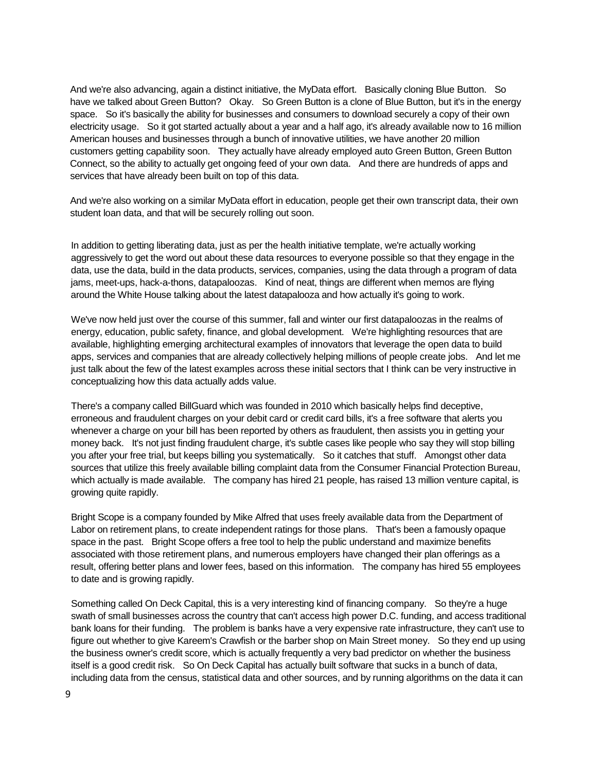And we're also advancing, again a distinct initiative, the MyData effort. Basically cloning Blue Button. So have we talked about Green Button? Okay. So Green Button is a clone of Blue Button, but it's in the energy space. So it's basically the ability for businesses and consumers to download securely a copy of their own electricity usage. So it got started actually about a year and a half ago, it's already available now to 16 million American houses and businesses through a bunch of innovative utilities, we have another 20 million customers getting capability soon. They actually have already employed auto Green Button, Green Button Connect, so the ability to actually get ongoing feed of your own data. And there are hundreds of apps and services that have already been built on top of this data.

And we're also working on a similar MyData effort in education, people get their own transcript data, their own student loan data, and that will be securely rolling out soon.

In addition to getting liberating data, just as per the health initiative template, we're actually working aggressively to get the word out about these data resources to everyone possible so that they engage in the data, use the data, build in the data products, services, companies, using the data through a program of data jams, meet-ups, hack-a-thons, datapaloozas. Kind of neat, things are different when memos are flying around the White House talking about the latest datapalooza and how actually it's going to work.

We've now held just over the course of this summer, fall and winter our first datapaloozas in the realms of energy, education, public safety, finance, and global development. We're highlighting resources that are available, highlighting emerging architectural examples of innovators that leverage the open data to build apps, services and companies that are already collectively helping millions of people create jobs. And let me just talk about the few of the latest examples across these initial sectors that I think can be very instructive in conceptualizing how this data actually adds value.

There's a company called BillGuard which was founded in 2010 which basically helps find deceptive, erroneous and fraudulent charges on your debit card or credit card bills, it's a free software that alerts you whenever a charge on your bill has been reported by others as fraudulent, then assists you in getting your money back. It's not just finding fraudulent charge, it's subtle cases like people who say they will stop billing you after your free trial, but keeps billing you systematically. So it catches that stuff. Amongst other data sources that utilize this freely available billing complaint data from the Consumer Financial Protection Bureau, which actually is made available. The company has hired 21 people, has raised 13 million venture capital, is growing quite rapidly.

Bright Scope is a company founded by Mike Alfred that uses freely available data from the Department of Labor on retirement plans, to create independent ratings for those plans. That's been a famously opaque space in the past. Bright Scope offers a free tool to help the public understand and maximize benefits associated with those retirement plans, and numerous employers have changed their plan offerings as a result, offering better plans and lower fees, based on this information. The company has hired 55 employees to date and is growing rapidly.

Something called On Deck Capital, this is a very interesting kind of financing company. So they're a huge swath of small businesses across the country that can't access high power D.C. funding, and access traditional bank loans for their funding. The problem is banks have a very expensive rate infrastructure, they can't use to figure out whether to give Kareem's Crawfish or the barber shop on Main Street money. So they end up using the business owner's credit score, which is actually frequently a very bad predictor on whether the business itself is a good credit risk. So On Deck Capital has actually built software that sucks in a bunch of data, including data from the census, statistical data and other sources, and by running algorithms on the data it can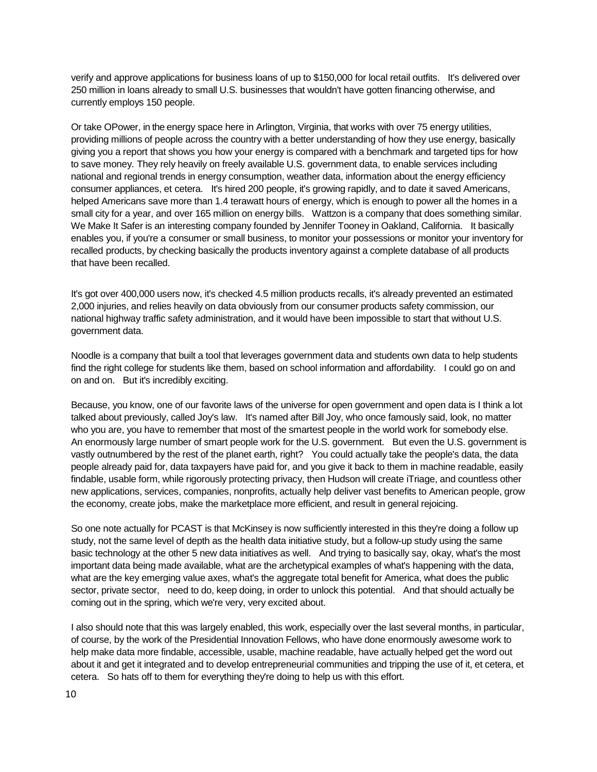verify and approve applications for business loans of up to \$150,000 for local retail outfits. It's delivered over 250 million in loans already to small U.S. businesses that wouldn't have gotten financing otherwise, and currently employs 150 people.

Or take OPower, in the energy space here in Arlington, Virginia, that works with over 75 energy utilities, providing millions of people across the country with a better understanding of how they use energy, basically giving you a report that shows you how your energy is compared with a benchmark and targeted tips for how to save money. They rely heavily on freely available U.S. government data, to enable services including national and regional trends in energy consumption, weather data, information about the energy efficiency consumer appliances, et cetera. It's hired 200 people, it's growing rapidly, and to date it saved Americans, helped Americans save more than 1.4 terawatt hours of energy, which is enough to power all the homes in a small city for a year, and over 165 million on energy bills. Wattzon is a company that does something similar. We Make It Safer is an interesting company founded by Jennifer Tooney in Oakland, California. It basically enables you, if you're a consumer or small business, to monitor your possessions or monitor your inventory for recalled products, by checking basically the products inventory against a complete database of all products that have been recalled.

It's got over 400,000 users now, it's checked 4.5 million products recalls, it's already prevented an estimated 2,000 injuries, and relies heavily on data obviously from our consumer products safety commission, our national highway traffic safety administration, and it would have been impossible to start that without U.S. government data.

Noodle is a company that built a tool that leverages government data and students own data to help students find the right college for students like them, based on school information and affordability. I could go on and on and on. But it's incredibly exciting.

Because, you know, one of our favorite laws of the universe for open government and open data is I think a lot talked about previously, called Joy's law. It's named after Bill Joy, who once famously said, look, no matter who you are, you have to remember that most of the smartest people in the world work for somebody else. An enormously large number of smart people work for the U.S. government. But even the U.S. government is vastly outnumbered by the rest of the planet earth, right? You could actually take the people's data, the data people already paid for, data taxpayers have paid for, and you give it back to them in machine readable, easily findable, usable form, while rigorously protecting privacy, then Hudson will create iTriage, and countless other new applications, services, companies, nonprofits, actually help deliver vast benefits to American people, grow the economy, create jobs, make the marketplace more efficient, and result in general rejoicing.

So one note actually for PCAST is that McKinsey is now sufficiently interested in this they're doing a follow up study, not the same level of depth as the health data initiative study, but a follow-up study using the same basic technology at the other 5 new data initiatives as well. And trying to basically say, okay, what's the most important data being made available, what are the archetypical examples of what's happening with the data, what are the key emerging value axes, what's the aggregate total benefit for America, what does the public sector, private sector, need to do, keep doing, in order to unlock this potential. And that should actually be coming out in the spring, which we're very, very excited about.

I also should note that this was largely enabled, this work, especially over the last several months, in particular, of course, by the work of the Presidential Innovation Fellows, who have done enormously awesome work to help make data more findable, accessible, usable, machine readable, have actually helped get the word out about it and get it integrated and to develop entrepreneurial communities and tripping the use of it, et cetera, et cetera. So hats off to them for everything they're doing to help us with this effort.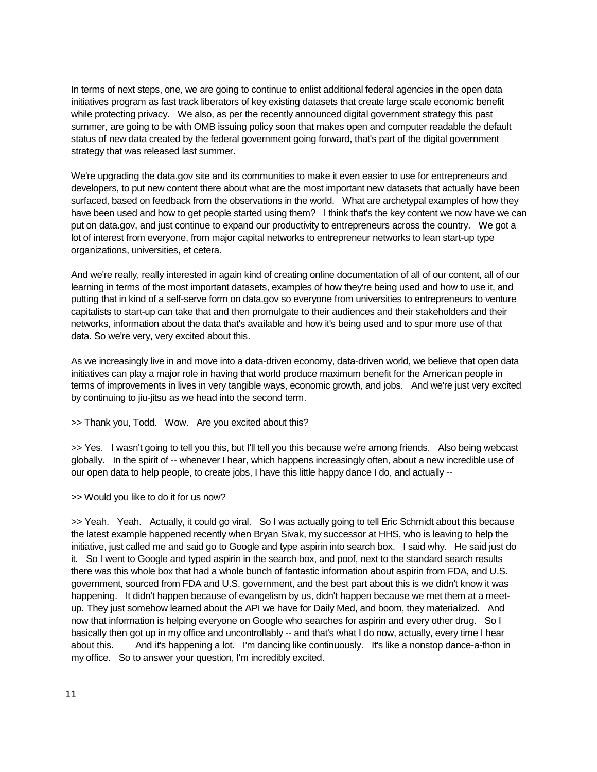In terms of next steps, one, we are going to continue to enlist additional federal agencies in the open data initiatives program as fast track liberators of key existing datasets that create large scale economic benefit while protecting privacy. We also, as per the recently announced digital government strategy this past summer, are going to be with OMB issuing policy soon that makes open and computer readable the default status of new data created by the federal government going forward, that's part of the digital government strategy that was released last summer.

We're upgrading the data.gov site and its communities to make it even easier to use for entrepreneurs and developers, to put new content there about what are the most important new datasets that actually have been surfaced, based on feedback from the observations in the world. What are archetypal examples of how they have been used and how to get people started using them? I think that's the key content we now have we can put on data.gov, and just continue to expand our productivity to entrepreneurs across the country. We got a lot of interest from everyone, from major capital networks to entrepreneur networks to lean start-up type organizations, universities, et cetera.

And we're really, really interested in again kind of creating online documentation of all of our content, all of our learning in terms of the most important datasets, examples of how they're being used and how to use it, and putting that in kind of a self-serve form on data.gov so everyone from universities to entrepreneurs to venture capitalists to start-up can take that and then promulgate to their audiences and their stakeholders and their networks, information about the data that's available and how it's being used and to spur more use of that data. So we're very, very excited about this.

As we increasingly live in and move into a data-driven economy, data-driven world, we believe that open data initiatives can play a major role in having that world produce maximum benefit for the American people in terms of improvements in lives in very tangible ways, economic growth, and jobs. And we're just very excited by continuing to jiu-jitsu as we head into the second term.

>> Thank you, Todd. Wow. Are you excited about this?

>> Yes. I wasn't going to tell you this, but I'll tell you this because we're among friends. Also being webcast globally. In the spirit of -- whenever I hear, which happens increasingly often, about a new incredible use of our open data to help people, to create jobs, I have this little happy dance I do, and actually --

>> Would you like to do it for us now?

>> Yeah. Yeah. Actually, it could go viral. So I was actually going to tell Eric Schmidt about this because the latest example happened recently when Bryan Sivak, my successor at HHS, who is leaving to help the initiative, just called me and said go to Google and type aspirin into search box. I said why. He said just do it. So I went to Google and typed aspirin in the search box, and poof, next to the standard search results there was this whole box that had a whole bunch of fantastic information about aspirin from FDA, and U.S. government, sourced from FDA and U.S. government, and the best part about this is we didn't know it was happening. It didn't happen because of evangelism by us, didn't happen because we met them at a meetup. They just somehow learned about the API we have for Daily Med, and boom, they materialized. And now that information is helping everyone on Google who searches for aspirin and every other drug. So I basically then got up in my office and uncontrollably -- and that's what I do now, actually, every time I hear about this. And it's happening a lot. I'm dancing like continuously. It's like a nonstop dance-a-thon in my office. So to answer your question, I'm incredibly excited.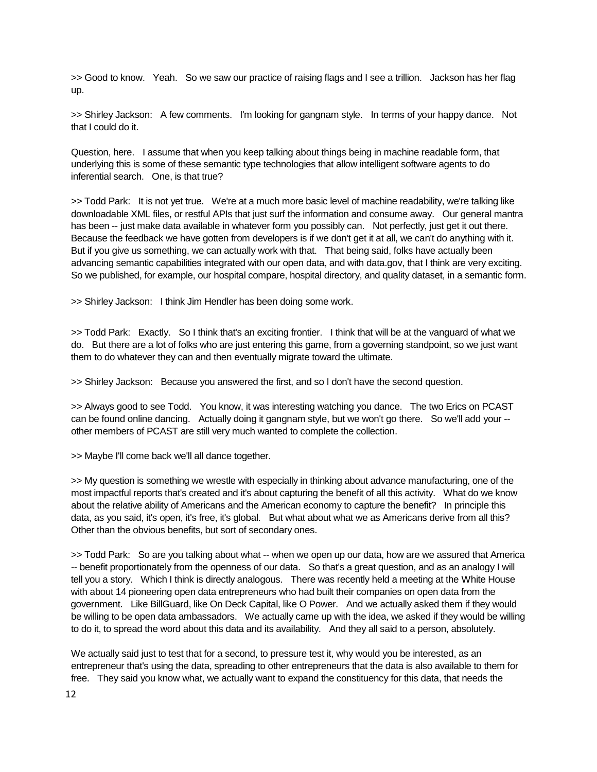>> Good to know. Yeah. So we saw our practice of raising flags and I see a trillion. Jackson has her flag up.

>> Shirley Jackson: A few comments. I'm looking for gangnam style. In terms of your happy dance. Not that I could do it.

Question, here. I assume that when you keep talking about things being in machine readable form, that underlying this is some of these semantic type technologies that allow intelligent software agents to do inferential search. One, is that true?

>> Todd Park: It is not yet true. We're at a much more basic level of machine readability, we're talking like downloadable XML files, or restful APIs that just surf the information and consume away. Our general mantra has been -- just make data available in whatever form you possibly can. Not perfectly, just get it out there. Because the feedback we have gotten from developers is if we don't get it at all, we can't do anything with it. But if you give us something, we can actually work with that. That being said, folks have actually been advancing semantic capabilities integrated with our open data, and with data.gov, that I think are very exciting. So we published, for example, our hospital compare, hospital directory, and quality dataset, in a semantic form.

>> Shirley Jackson: I think Jim Hendler has been doing some work.

>> Todd Park: Exactly. So I think that's an exciting frontier. I think that will be at the vanguard of what we do. But there are a lot of folks who are just entering this game, from a governing standpoint, so we just want them to do whatever they can and then eventually migrate toward the ultimate.

>> Shirley Jackson: Because you answered the first, and so I don't have the second question.

>> Always good to see Todd. You know, it was interesting watching you dance. The two Erics on PCAST can be found online dancing. Actually doing it gangnam style, but we won't go there. So we'll add your - other members of PCAST are still very much wanted to complete the collection.

>> Maybe I'll come back we'll all dance together.

>> My question is something we wrestle with especially in thinking about advance manufacturing, one of the most impactful reports that's created and it's about capturing the benefit of all this activity. What do we know about the relative ability of Americans and the American economy to capture the benefit? In principle this data, as you said, it's open, it's free, it's global. But what about what we as Americans derive from all this? Other than the obvious benefits, but sort of secondary ones.

>> Todd Park: So are you talking about what -- when we open up our data, how are we assured that America -- benefit proportionately from the openness of our data. So that's a great question, and as an analogy I will tell you a story. Which I think is directly analogous. There was recently held a meeting at the White House with about 14 pioneering open data entrepreneurs who had built their companies on open data from the government. Like BillGuard, like On Deck Capital, like O Power. And we actually asked them if they would be willing to be open data ambassadors. We actually came up with the idea, we asked if they would be willing to do it, to spread the word about this data and its availability. And they all said to a person, absolutely.

We actually said just to test that for a second, to pressure test it, why would you be interested, as an entrepreneur that's using the data, spreading to other entrepreneurs that the data is also available to them for free. They said you know what, we actually want to expand the constituency for this data, that needs the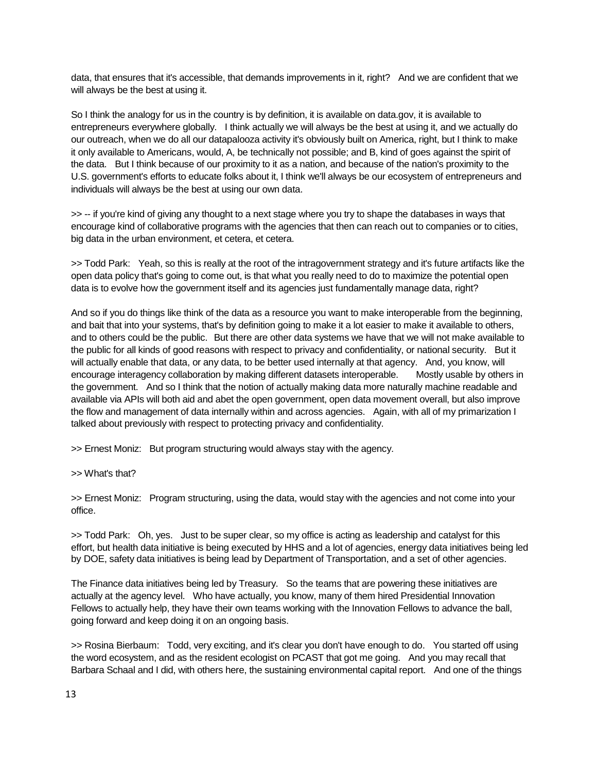data, that ensures that it's accessible, that demands improvements in it, right? And we are confident that we will always be the best at using it.

So I think the analogy for us in the country is by definition, it is available on data.gov, it is available to entrepreneurs everywhere globally. I think actually we will always be the best at using it, and we actually do our outreach, when we do all our datapalooza activity it's obviously built on America, right, but I think to make it only available to Americans, would, A, be technically not possible; and B, kind of goes against the spirit of the data. But I think because of our proximity to it as a nation, and because of the nation's proximity to the U.S. government's efforts to educate folks about it, I think we'll always be our ecosystem of entrepreneurs and individuals will always be the best at using our own data.

>> -- if you're kind of giving any thought to a next stage where you try to shape the databases in ways that encourage kind of collaborative programs with the agencies that then can reach out to companies or to cities, big data in the urban environment, et cetera, et cetera.

>> Todd Park: Yeah, so this is really at the root of the intragovernment strategy and it's future artifacts like the open data policy that's going to come out, is that what you really need to do to maximize the potential open data is to evolve how the government itself and its agencies just fundamentally manage data, right?

And so if you do things like think of the data as a resource you want to make interoperable from the beginning, and bait that into your systems, that's by definition going to make it a lot easier to make it available to others, and to others could be the public. But there are other data systems we have that we will not make available to the public for all kinds of good reasons with respect to privacy and confidentiality, or national security. But it will actually enable that data, or any data, to be better used internally at that agency. And, you know, will encourage interagency collaboration by making different datasets interoperable. Mostly usable by others in the government. And so I think that the notion of actually making data more naturally machine readable and available via APIs will both aid and abet the open government, open data movement overall, but also improve the flow and management of data internally within and across agencies. Again, with all of my primarization I talked about previously with respect to protecting privacy and confidentiality.

>> Ernest Moniz: But program structuring would always stay with the agency.

>> What's that?

>> Ernest Moniz: Program structuring, using the data, would stay with the agencies and not come into your office.

>> Todd Park: Oh, yes. Just to be super clear, so my office is acting as leadership and catalyst for this effort, but health data initiative is being executed by HHS and a lot of agencies, energy data initiatives being led by DOE, safety data initiatives is being lead by Department of Transportation, and a set of other agencies.

The Finance data initiatives being led by Treasury. So the teams that are powering these initiatives are actually at the agency level. Who have actually, you know, many of them hired Presidential Innovation Fellows to actually help, they have their own teams working with the Innovation Fellows to advance the ball, going forward and keep doing it on an ongoing basis.

>> Rosina Bierbaum: Todd, very exciting, and it's clear you don't have enough to do. You started off using the word ecosystem, and as the resident ecologist on PCAST that got me going. And you may recall that Barbara Schaal and I did, with others here, the sustaining environmental capital report. And one of the things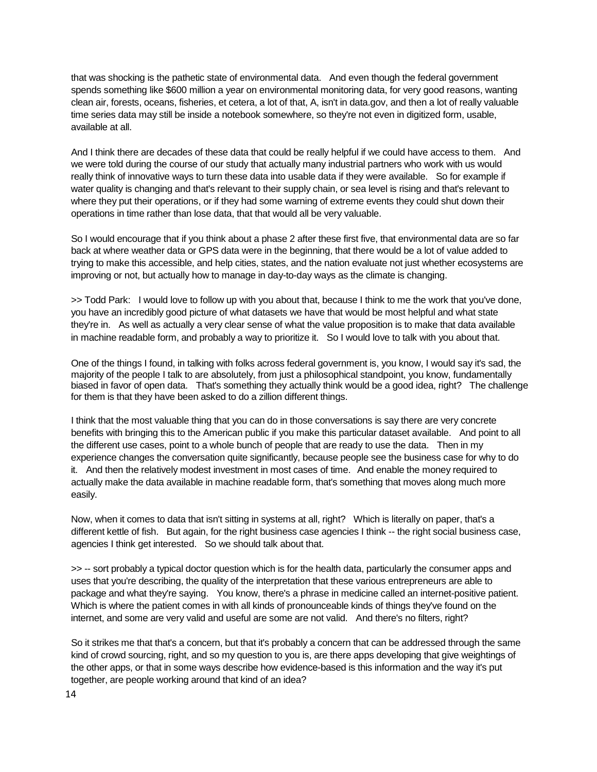that was shocking is the pathetic state of environmental data. And even though the federal government spends something like \$600 million a year on environmental monitoring data, for very good reasons, wanting clean air, forests, oceans, fisheries, et cetera, a lot of that, A, isn't in data.gov, and then a lot of really valuable time series data may still be inside a notebook somewhere, so they're not even in digitized form, usable, available at all.

And I think there are decades of these data that could be really helpful if we could have access to them. And we were told during the course of our study that actually many industrial partners who work with us would really think of innovative ways to turn these data into usable data if they were available. So for example if water quality is changing and that's relevant to their supply chain, or sea level is rising and that's relevant to where they put their operations, or if they had some warning of extreme events they could shut down their operations in time rather than lose data, that that would all be very valuable.

So I would encourage that if you think about a phase 2 after these first five, that environmental data are so far back at where weather data or GPS data were in the beginning, that there would be a lot of value added to trying to make this accessible, and help cities, states, and the nation evaluate not just whether ecosystems are improving or not, but actually how to manage in day-to-day ways as the climate is changing.

>> Todd Park: I would love to follow up with you about that, because I think to me the work that you've done, you have an incredibly good picture of what datasets we have that would be most helpful and what state they're in. As well as actually a very clear sense of what the value proposition is to make that data available in machine readable form, and probably a way to prioritize it. So I would love to talk with you about that.

One of the things I found, in talking with folks across federal government is, you know, I would say it's sad, the majority of the people I talk to are absolutely, from just a philosophical standpoint, you know, fundamentally biased in favor of open data. That's something they actually think would be a good idea, right? The challenge for them is that they have been asked to do a zillion different things.

I think that the most valuable thing that you can do in those conversations is say there are very concrete benefits with bringing this to the American public if you make this particular dataset available. And point to all the different use cases, point to a whole bunch of people that are ready to use the data. Then in my experience changes the conversation quite significantly, because people see the business case for why to do it. And then the relatively modest investment in most cases of time. And enable the money required to actually make the data available in machine readable form, that's something that moves along much more easily.

Now, when it comes to data that isn't sitting in systems at all, right? Which is literally on paper, that's a different kettle of fish. But again, for the right business case agencies I think -- the right social business case, agencies I think get interested. So we should talk about that.

>> -- sort probably a typical doctor question which is for the health data, particularly the consumer apps and uses that you're describing, the quality of the interpretation that these various entrepreneurs are able to package and what they're saying. You know, there's a phrase in medicine called an internet-positive patient. Which is where the patient comes in with all kinds of pronounceable kinds of things they've found on the internet, and some are very valid and useful are some are not valid. And there's no filters, right?

So it strikes me that that's a concern, but that it's probably a concern that can be addressed through the same kind of crowd sourcing, right, and so my question to you is, are there apps developing that give weightings of the other apps, or that in some ways describe how evidence-based is this information and the way it's put together, are people working around that kind of an idea?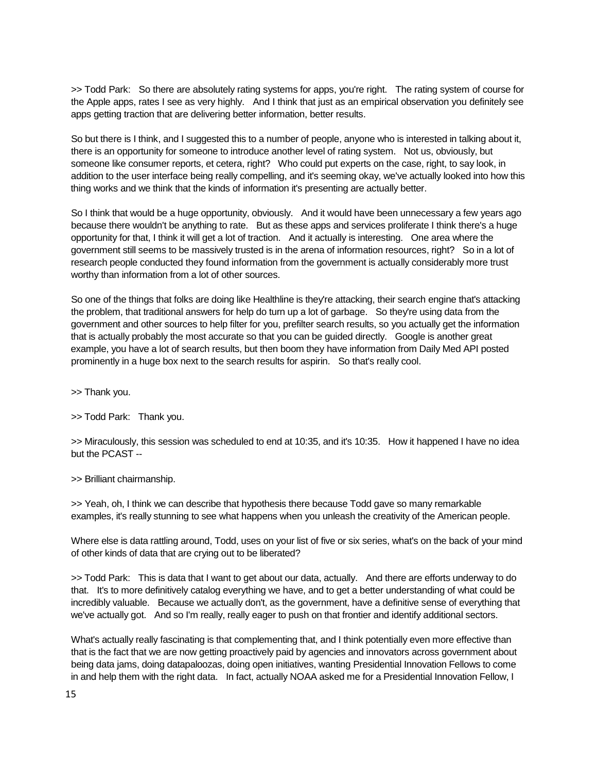>> Todd Park: So there are absolutely rating systems for apps, you're right. The rating system of course for the Apple apps, rates I see as very highly. And I think that just as an empirical observation you definitely see apps getting traction that are delivering better information, better results.

So but there is I think, and I suggested this to a number of people, anyone who is interested in talking about it, there is an opportunity for someone to introduce another level of rating system. Not us, obviously, but someone like consumer reports, et cetera, right? Who could put experts on the case, right, to say look, in addition to the user interface being really compelling, and it's seeming okay, we've actually looked into how this thing works and we think that the kinds of information it's presenting are actually better.

So I think that would be a huge opportunity, obviously. And it would have been unnecessary a few years ago because there wouldn't be anything to rate. But as these apps and services proliferate I think there's a huge opportunity for that, I think it will get a lot of traction. And it actually is interesting. One area where the government still seems to be massively trusted is in the arena of information resources, right? So in a lot of research people conducted they found information from the government is actually considerably more trust worthy than information from a lot of other sources.

So one of the things that folks are doing like Healthline is they're attacking, their search engine that's attacking the problem, that traditional answers for help do turn up a lot of garbage. So they're using data from the government and other sources to help filter for you, prefilter search results, so you actually get the information that is actually probably the most accurate so that you can be guided directly. Google is another great example, you have a lot of search results, but then boom they have information from Daily Med API posted prominently in a huge box next to the search results for aspirin. So that's really cool.

>> Thank you.

>> Todd Park: Thank you.

>> Miraculously, this session was scheduled to end at 10:35, and it's 10:35. How it happened I have no idea but the PCAST --

>> Brilliant chairmanship.

>> Yeah, oh, I think we can describe that hypothesis there because Todd gave so many remarkable examples, it's really stunning to see what happens when you unleash the creativity of the American people.

Where else is data rattling around, Todd, uses on your list of five or six series, what's on the back of your mind of other kinds of data that are crying out to be liberated?

>> Todd Park: This is data that I want to get about our data, actually. And there are efforts underway to do that. It's to more definitively catalog everything we have, and to get a better understanding of what could be incredibly valuable. Because we actually don't, as the government, have a definitive sense of everything that we've actually got. And so I'm really, really eager to push on that frontier and identify additional sectors.

What's actually really fascinating is that complementing that, and I think potentially even more effective than that is the fact that we are now getting proactively paid by agencies and innovators across government about being data jams, doing datapaloozas, doing open initiatives, wanting Presidential Innovation Fellows to come in and help them with the right data. In fact, actually NOAA asked me for a Presidential Innovation Fellow, I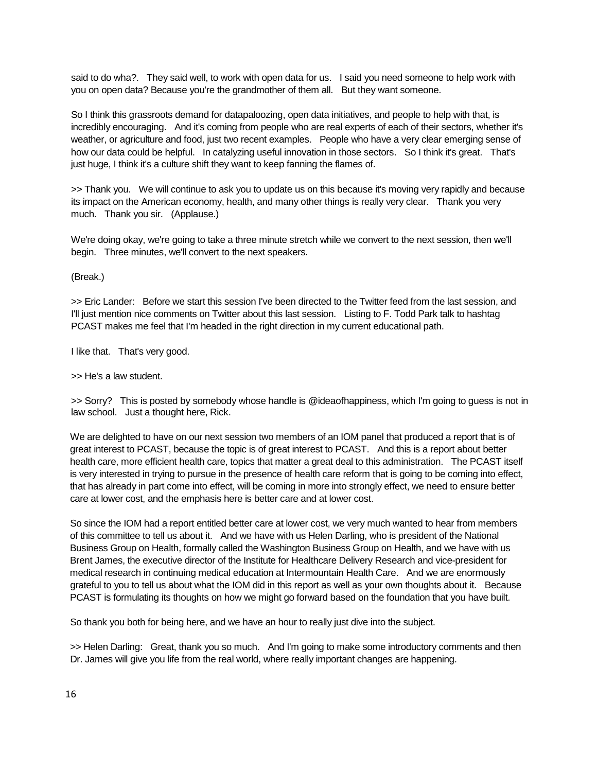said to do wha?. They said well, to work with open data for us. I said you need someone to help work with you on open data? Because you're the grandmother of them all. But they want someone.

So I think this grassroots demand for datapaloozing, open data initiatives, and people to help with that, is incredibly encouraging. And it's coming from people who are real experts of each of their sectors, whether it's weather, or agriculture and food, just two recent examples. People who have a very clear emerging sense of how our data could be helpful. In catalyzing useful innovation in those sectors. So I think it's great. That's just huge, I think it's a culture shift they want to keep fanning the flames of.

>> Thank you. We will continue to ask you to update us on this because it's moving very rapidly and because its impact on the American economy, health, and many other things is really very clear. Thank you very much. Thank you sir. (Applause.)

We're doing okay, we're going to take a three minute stretch while we convert to the next session, then we'll begin. Three minutes, we'll convert to the next speakers.

(Break.)

>> Eric Lander: Before we start this session I've been directed to the Twitter feed from the last session, and I'll just mention nice comments on Twitter about this last session. Listing to F. Todd Park talk to hashtag PCAST makes me feel that I'm headed in the right direction in my current educational path.

I like that. That's very good.

>> He's a law student.

>> Sorry? This is posted by somebody whose handle is @ideaofhappiness, which I'm going to guess is not in law school. Just a thought here, Rick.

We are delighted to have on our next session two members of an IOM panel that produced a report that is of great interest to PCAST, because the topic is of great interest to PCAST. And this is a report about better health care, more efficient health care, topics that matter a great deal to this administration. The PCAST itself is very interested in trying to pursue in the presence of health care reform that is going to be coming into effect, that has already in part come into effect, will be coming in more into strongly effect, we need to ensure better care at lower cost, and the emphasis here is better care and at lower cost.

So since the IOM had a report entitled better care at lower cost, we very much wanted to hear from members of this committee to tell us about it. And we have with us Helen Darling, who is president of the National Business Group on Health, formally called the Washington Business Group on Health, and we have with us Brent James, the executive director of the Institute for Healthcare Delivery Research and vice-president for medical research in continuing medical education at Intermountain Health Care. And we are enormously grateful to you to tell us about what the IOM did in this report as well as your own thoughts about it. Because PCAST is formulating its thoughts on how we might go forward based on the foundation that you have built.

So thank you both for being here, and we have an hour to really just dive into the subject.

>> Helen Darling: Great, thank you so much. And I'm going to make some introductory comments and then Dr. James will give you life from the real world, where really important changes are happening.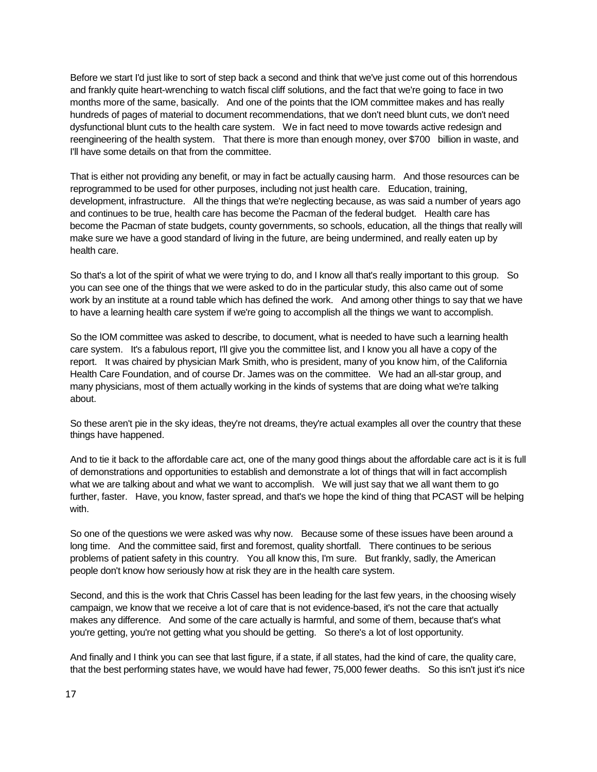Before we start I'd just like to sort of step back a second and think that we've just come out of this horrendous and frankly quite heart-wrenching to watch fiscal cliff solutions, and the fact that we're going to face in two months more of the same, basically. And one of the points that the IOM committee makes and has really hundreds of pages of material to document recommendations, that we don't need blunt cuts, we don't need dysfunctional blunt cuts to the health care system. We in fact need to move towards active redesign and reengineering of the health system. That there is more than enough money, over \$700 billion in waste, and I'll have some details on that from the committee.

That is either not providing any benefit, or may in fact be actually causing harm. And those resources can be reprogrammed to be used for other purposes, including not just health care. Education, training, development, infrastructure. All the things that we're neglecting because, as was said a number of years ago and continues to be true, health care has become the Pacman of the federal budget. Health care has become the Pacman of state budgets, county governments, so schools, education, all the things that really will make sure we have a good standard of living in the future, are being undermined, and really eaten up by health care.

So that's a lot of the spirit of what we were trying to do, and I know all that's really important to this group. So you can see one of the things that we were asked to do in the particular study, this also came out of some work by an institute at a round table which has defined the work. And among other things to say that we have to have a learning health care system if we're going to accomplish all the things we want to accomplish.

So the IOM committee was asked to describe, to document, what is needed to have such a learning health care system. It's a fabulous report, I'll give you the committee list, and I know you all have a copy of the report. It was chaired by physician Mark Smith, who is president, many of you know him, of the California Health Care Foundation, and of course Dr. James was on the committee. We had an all-star group, and many physicians, most of them actually working in the kinds of systems that are doing what we're talking about.

So these aren't pie in the sky ideas, they're not dreams, they're actual examples all over the country that these things have happened.

And to tie it back to the affordable care act, one of the many good things about the affordable care act is it is full of demonstrations and opportunities to establish and demonstrate a lot of things that will in fact accomplish what we are talking about and what we want to accomplish. We will just say that we all want them to go further, faster. Have, you know, faster spread, and that's we hope the kind of thing that PCAST will be helping with.

So one of the questions we were asked was why now. Because some of these issues have been around a long time. And the committee said, first and foremost, quality shortfall. There continues to be serious problems of patient safety in this country. You all know this, I'm sure. But frankly, sadly, the American people don't know how seriously how at risk they are in the health care system.

Second, and this is the work that Chris Cassel has been leading for the last few years, in the choosing wisely campaign, we know that we receive a lot of care that is not evidence-based, it's not the care that actually makes any difference. And some of the care actually is harmful, and some of them, because that's what you're getting, you're not getting what you should be getting. So there's a lot of lost opportunity.

And finally and I think you can see that last figure, if a state, if all states, had the kind of care, the quality care, that the best performing states have, we would have had fewer, 75,000 fewer deaths. So this isn't just it's nice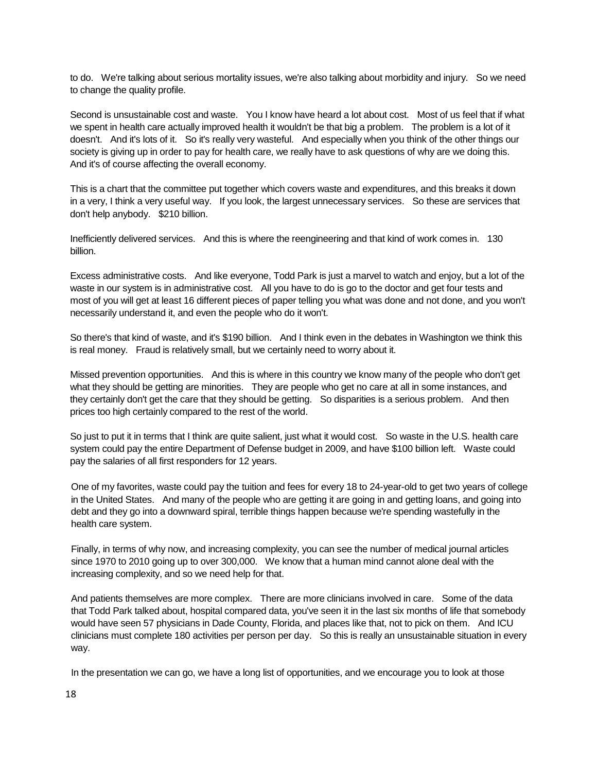to do. We're talking about serious mortality issues, we're also talking about morbidity and injury. So we need to change the quality profile.

Second is unsustainable cost and waste. You I know have heard a lot about cost. Most of us feel that if what we spent in health care actually improved health it wouldn't be that big a problem. The problem is a lot of it doesn't. And it's lots of it. So it's really very wasteful. And especially when you think of the other things our society is giving up in order to pay for health care, we really have to ask questions of why are we doing this. And it's of course affecting the overall economy.

This is a chart that the committee put together which covers waste and expenditures, and this breaks it down in a very, I think a very useful way. If you look, the largest unnecessary services. So these are services that don't help anybody. \$210 billion.

Inefficiently delivered services. And this is where the reengineering and that kind of work comes in. 130 billion.

Excess administrative costs. And like everyone, Todd Park is just a marvel to watch and enjoy, but a lot of the waste in our system is in administrative cost. All you have to do is go to the doctor and get four tests and most of you will get at least 16 different pieces of paper telling you what was done and not done, and you won't necessarily understand it, and even the people who do it won't.

So there's that kind of waste, and it's \$190 billion. And I think even in the debates in Washington we think this is real money. Fraud is relatively small, but we certainly need to worry about it.

Missed prevention opportunities. And this is where in this country we know many of the people who don't get what they should be getting are minorities. They are people who get no care at all in some instances, and they certainly don't get the care that they should be getting. So disparities is a serious problem. And then prices too high certainly compared to the rest of the world.

So just to put it in terms that I think are quite salient, just what it would cost. So waste in the U.S. health care system could pay the entire Department of Defense budget in 2009, and have \$100 billion left. Waste could pay the salaries of all first responders for 12 years.

One of my favorites, waste could pay the tuition and fees for every 18 to 24-year-old to get two years of college in the United States. And many of the people who are getting it are going in and getting loans, and going into debt and they go into a downward spiral, terrible things happen because we're spending wastefully in the health care system.

Finally, in terms of why now, and increasing complexity, you can see the number of medical journal articles since 1970 to 2010 going up to over 300,000. We know that a human mind cannot alone deal with the increasing complexity, and so we need help for that.

And patients themselves are more complex. There are more clinicians involved in care. Some of the data that Todd Park talked about, hospital compared data, you've seen it in the last six months of life that somebody would have seen 57 physicians in Dade County, Florida, and places like that, not to pick on them. And ICU clinicians must complete 180 activities per person per day. So this is really an unsustainable situation in every way.

In the presentation we can go, we have a long list of opportunities, and we encourage you to look at those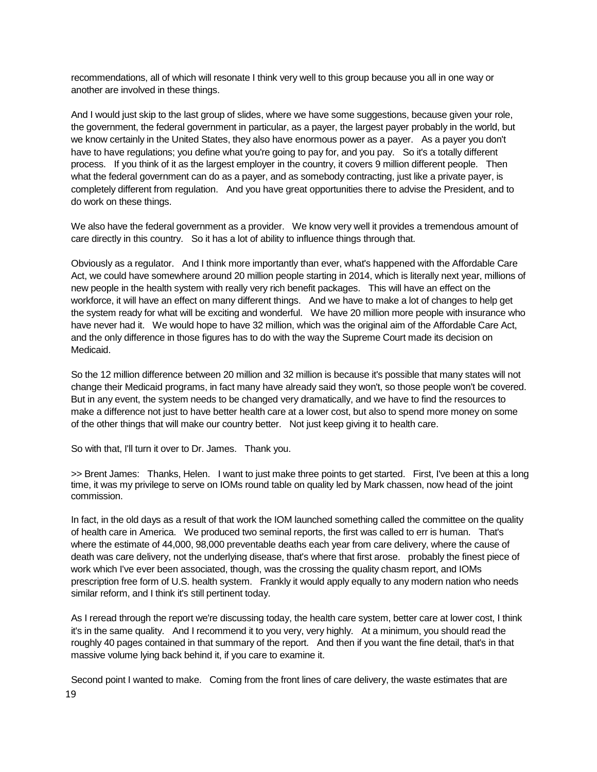recommendations, all of which will resonate I think very well to this group because you all in one way or another are involved in these things.

And I would just skip to the last group of slides, where we have some suggestions, because given your role, the government, the federal government in particular, as a payer, the largest payer probably in the world, but we know certainly in the United States, they also have enormous power as a payer. As a payer you don't have to have regulations; you define what you're going to pay for, and you pay. So it's a totally different process. If you think of it as the largest employer in the country, it covers 9 million different people. Then what the federal government can do as a payer, and as somebody contracting, just like a private payer, is completely different from regulation. And you have great opportunities there to advise the President, and to do work on these things.

We also have the federal government as a provider. We know very well it provides a tremendous amount of care directly in this country. So it has a lot of ability to influence things through that.

Obviously as a regulator. And I think more importantly than ever, what's happened with the Affordable Care Act, we could have somewhere around 20 million people starting in 2014, which is literally next year, millions of new people in the health system with really very rich benefit packages. This will have an effect on the workforce, it will have an effect on many different things. And we have to make a lot of changes to help get the system ready for what will be exciting and wonderful. We have 20 million more people with insurance who have never had it. We would hope to have 32 million, which was the original aim of the Affordable Care Act, and the only difference in those figures has to do with the way the Supreme Court made its decision on Medicaid.

So the 12 million difference between 20 million and 32 million is because it's possible that many states will not change their Medicaid programs, in fact many have already said they won't, so those people won't be covered. But in any event, the system needs to be changed very dramatically, and we have to find the resources to make a difference not just to have better health care at a lower cost, but also to spend more money on some of the other things that will make our country better. Not just keep giving it to health care.

So with that, I'll turn it over to Dr. James. Thank you.

>> Brent James: Thanks, Helen. I want to just make three points to get started. First, I've been at this a long time, it was my privilege to serve on IOMs round table on quality led by Mark chassen, now head of the joint commission.

In fact, in the old days as a result of that work the IOM launched something called the committee on the quality of health care in America. We produced two seminal reports, the first was called to err is human. That's where the estimate of 44,000, 98,000 preventable deaths each year from care delivery, where the cause of death was care delivery, not the underlying disease, that's where that first arose. probably the finest piece of work which I've ever been associated, though, was the crossing the quality chasm report, and IOMs prescription free form of U.S. health system. Frankly it would apply equally to any modern nation who needs similar reform, and I think it's still pertinent today.

As I reread through the report we're discussing today, the health care system, better care at lower cost, I think it's in the same quality. And I recommend it to you very, very highly. At a minimum, you should read the roughly 40 pages contained in that summary of the report. And then if you want the fine detail, that's in that massive volume lying back behind it, if you care to examine it.

19 Second point I wanted to make. Coming from the front lines of care delivery, the waste estimates that are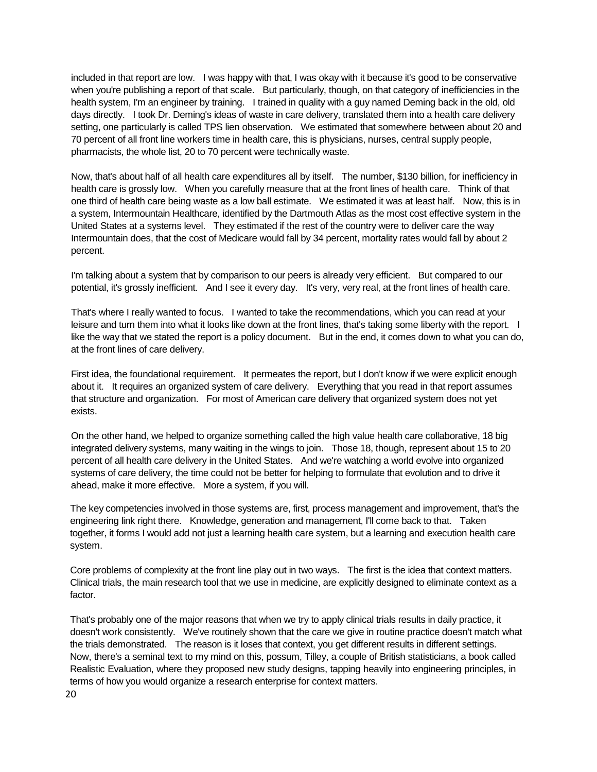included in that report are low. I was happy with that, I was okay with it because it's good to be conservative when you're publishing a report of that scale. But particularly, though, on that category of inefficiencies in the health system, I'm an engineer by training. I trained in quality with a guy named Deming back in the old, old days directly. I took Dr. Deming's ideas of waste in care delivery, translated them into a health care delivery setting, one particularly is called TPS lien observation. We estimated that somewhere between about 20 and 70 percent of all front line workers time in health care, this is physicians, nurses, central supply people, pharmacists, the whole list, 20 to 70 percent were technically waste.

Now, that's about half of all health care expenditures all by itself. The number, \$130 billion, for inefficiency in health care is grossly low. When you carefully measure that at the front lines of health care. Think of that one third of health care being waste as a low ball estimate. We estimated it was at least half. Now, this is in a system, Intermountain Healthcare, identified by the Dartmouth Atlas as the most cost effective system in the United States at a systems level. They estimated if the rest of the country were to deliver care the way Intermountain does, that the cost of Medicare would fall by 34 percent, mortality rates would fall by about 2 percent.

I'm talking about a system that by comparison to our peers is already very efficient. But compared to our potential, it's grossly inefficient. And I see it every day. It's very, very real, at the front lines of health care.

That's where I really wanted to focus. I wanted to take the recommendations, which you can read at your leisure and turn them into what it looks like down at the front lines, that's taking some liberty with the report. I like the way that we stated the report is a policy document. But in the end, it comes down to what you can do, at the front lines of care delivery.

First idea, the foundational requirement. It permeates the report, but I don't know if we were explicit enough about it. It requires an organized system of care delivery. Everything that you read in that report assumes that structure and organization. For most of American care delivery that organized system does not yet exists.

On the other hand, we helped to organize something called the high value health care collaborative, 18 big integrated delivery systems, many waiting in the wings to join. Those 18, though, represent about 15 to 20 percent of all health care delivery in the United States. And we're watching a world evolve into organized systems of care delivery, the time could not be better for helping to formulate that evolution and to drive it ahead, make it more effective. More a system, if you will.

The key competencies involved in those systems are, first, process management and improvement, that's the engineering link right there. Knowledge, generation and management, I'll come back to that. Taken together, it forms I would add not just a learning health care system, but a learning and execution health care system.

Core problems of complexity at the front line play out in two ways. The first is the idea that context matters. Clinical trials, the main research tool that we use in medicine, are explicitly designed to eliminate context as a factor.

That's probably one of the major reasons that when we try to apply clinical trials results in daily practice, it doesn't work consistently. We've routinely shown that the care we give in routine practice doesn't match what the trials demonstrated. The reason is it loses that context, you get different results in different settings. Now, there's a seminal text to my mind on this, possum, Tilley, a couple of British statisticians, a book called Realistic Evaluation, where they proposed new study designs, tapping heavily into engineering principles, in terms of how you would organize a research enterprise for context matters.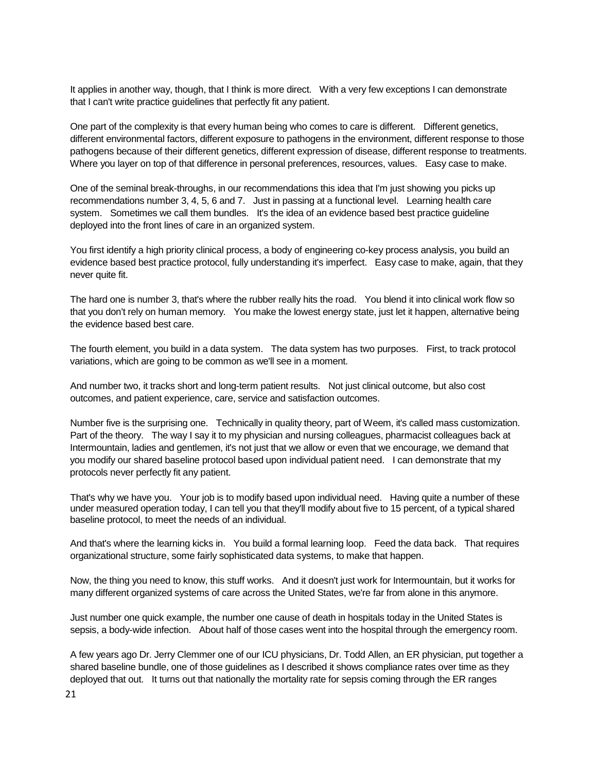It applies in another way, though, that I think is more direct. With a very few exceptions I can demonstrate that I can't write practice guidelines that perfectly fit any patient.

One part of the complexity is that every human being who comes to care is different. Different genetics, different environmental factors, different exposure to pathogens in the environment, different response to those pathogens because of their different genetics, different expression of disease, different response to treatments. Where you layer on top of that difference in personal preferences, resources, values. Easy case to make.

One of the seminal break-throughs, in our recommendations this idea that I'm just showing you picks up recommendations number 3, 4, 5, 6 and 7. Just in passing at a functional level. Learning health care system. Sometimes we call them bundles. It's the idea of an evidence based best practice guideline deployed into the front lines of care in an organized system.

You first identify a high priority clinical process, a body of engineering co-key process analysis, you build an evidence based best practice protocol, fully understanding it's imperfect. Easy case to make, again, that they never quite fit.

The hard one is number 3, that's where the rubber really hits the road. You blend it into clinical work flow so that you don't rely on human memory. You make the lowest energy state, just let it happen, alternative being the evidence based best care.

The fourth element, you build in a data system. The data system has two purposes. First, to track protocol variations, which are going to be common as we'll see in a moment.

And number two, it tracks short and long-term patient results. Not just clinical outcome, but also cost outcomes, and patient experience, care, service and satisfaction outcomes.

Number five is the surprising one. Technically in quality theory, part of Weem, it's called mass customization. Part of the theory. The way I say it to my physician and nursing colleagues, pharmacist colleagues back at Intermountain, ladies and gentlemen, it's not just that we allow or even that we encourage, we demand that you modify our shared baseline protocol based upon individual patient need. I can demonstrate that my protocols never perfectly fit any patient.

That's why we have you. Your job is to modify based upon individual need. Having quite a number of these under measured operation today, I can tell you that they'll modify about five to 15 percent, of a typical shared baseline protocol, to meet the needs of an individual.

And that's where the learning kicks in. You build a formal learning loop. Feed the data back. That requires organizational structure, some fairly sophisticated data systems, to make that happen.

Now, the thing you need to know, this stuff works. And it doesn't just work for Intermountain, but it works for many different organized systems of care across the United States, we're far from alone in this anymore.

Just number one quick example, the number one cause of death in hospitals today in the United States is sepsis, a body-wide infection. About half of those cases went into the hospital through the emergency room.

A few years ago Dr. Jerry Clemmer one of our ICU physicians, Dr. Todd Allen, an ER physician, put together a shared baseline bundle, one of those guidelines as I described it shows compliance rates over time as they deployed that out. It turns out that nationally the mortality rate for sepsis coming through the ER ranges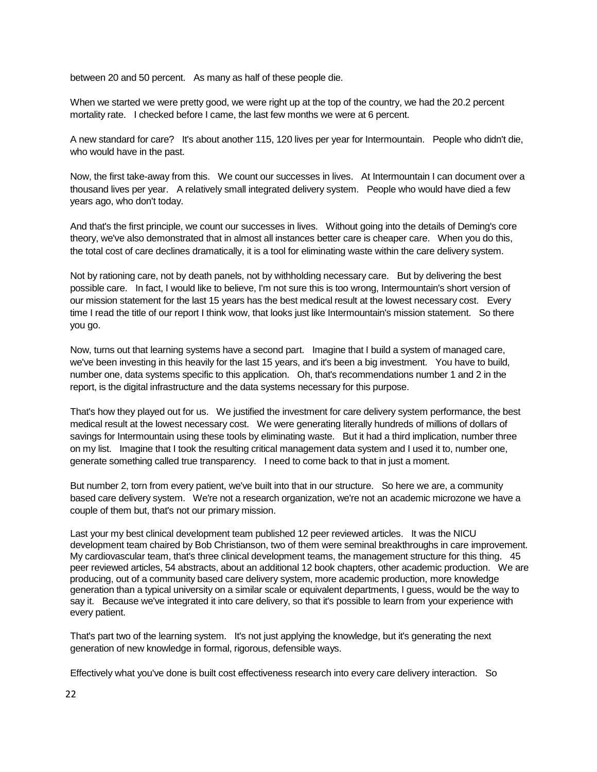between 20 and 50 percent. As many as half of these people die.

When we started we were pretty good, we were right up at the top of the country, we had the 20.2 percent mortality rate. I checked before I came, the last few months we were at 6 percent.

A new standard for care? It's about another 115, 120 lives per year for Intermountain. People who didn't die, who would have in the past.

Now, the first take-away from this. We count our successes in lives. At Intermountain I can document over a thousand lives per year. A relatively small integrated delivery system. People who would have died a few years ago, who don't today.

And that's the first principle, we count our successes in lives. Without going into the details of Deming's core theory, we've also demonstrated that in almost all instances better care is cheaper care. When you do this, the total cost of care declines dramatically, it is a tool for eliminating waste within the care delivery system.

Not by rationing care, not by death panels, not by withholding necessary care. But by delivering the best possible care. In fact, I would like to believe, I'm not sure this is too wrong, Intermountain's short version of our mission statement for the last 15 years has the best medical result at the lowest necessary cost. Every time I read the title of our report I think wow, that looks just like Intermountain's mission statement. So there you go.

Now, turns out that learning systems have a second part. Imagine that I build a system of managed care, we've been investing in this heavily for the last 15 years, and it's been a big investment. You have to build, number one, data systems specific to this application. Oh, that's recommendations number 1 and 2 in the report, is the digital infrastructure and the data systems necessary for this purpose.

That's how they played out for us. We justified the investment for care delivery system performance, the best medical result at the lowest necessary cost. We were generating literally hundreds of millions of dollars of savings for Intermountain using these tools by eliminating waste. But it had a third implication, number three on my list. Imagine that I took the resulting critical management data system and I used it to, number one, generate something called true transparency. I need to come back to that in just a moment.

But number 2, torn from every patient, we've built into that in our structure. So here we are, a community based care delivery system. We're not a research organization, we're not an academic microzone we have a couple of them but, that's not our primary mission.

Last your my best clinical development team published 12 peer reviewed articles. It was the NICU development team chaired by Bob Christianson, two of them were seminal breakthroughs in care improvement. My cardiovascular team, that's three clinical development teams, the management structure for this thing. 45 peer reviewed articles, 54 abstracts, about an additional 12 book chapters, other academic production. We are producing, out of a community based care delivery system, more academic production, more knowledge generation than a typical university on a similar scale or equivalent departments, I guess, would be the way to say it. Because we've integrated it into care delivery, so that it's possible to learn from your experience with every patient.

That's part two of the learning system. It's not just applying the knowledge, but it's generating the next generation of new knowledge in formal, rigorous, defensible ways.

Effectively what you've done is built cost effectiveness research into every care delivery interaction. So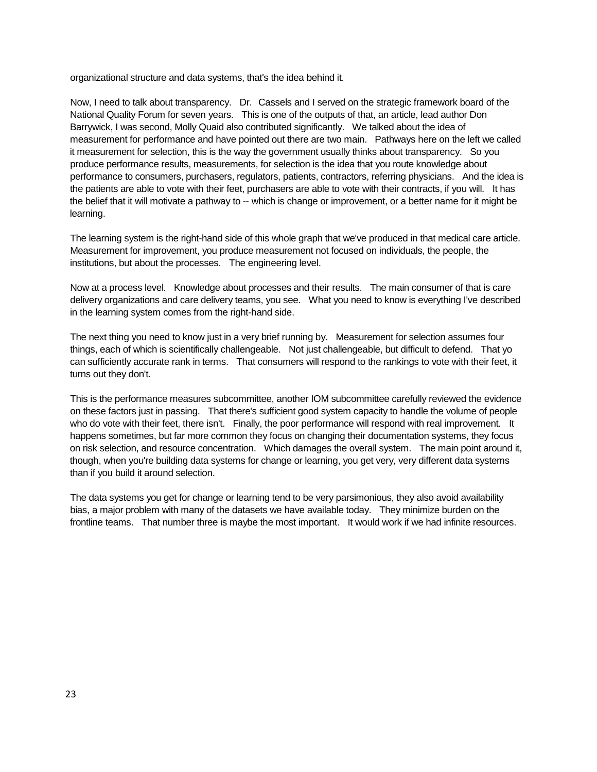organizational structure and data systems, that's the idea behind it.

Now, I need to talk about transparency. Dr. Cassels and I served on the strategic framework board of the National Quality Forum for seven years. This is one of the outputs of that, an article, lead author Don Barrywick, I was second, Molly Quaid also contributed significantly. We talked about the idea of measurement for performance and have pointed out there are two main. Pathways here on the left we called it measurement for selection, this is the way the government usually thinks about transparency. So you produce performance results, measurements, for selection is the idea that you route knowledge about performance to consumers, purchasers, regulators, patients, contractors, referring physicians. And the idea is the patients are able to vote with their feet, purchasers are able to vote with their contracts, if you will. It has the belief that it will motivate a pathway to -- which is change or improvement, or a better name for it might be learning.

The learning system is the right-hand side of this whole graph that we've produced in that medical care article. Measurement for improvement, you produce measurement not focused on individuals, the people, the institutions, but about the processes. The engineering level.

Now at a process level. Knowledge about processes and their results. The main consumer of that is care delivery organizations and care delivery teams, you see. What you need to know is everything I've described in the learning system comes from the right-hand side.

The next thing you need to know just in a very brief running by. Measurement for selection assumes four things, each of which is scientifically challengeable. Not just challengeable, but difficult to defend. That yo can sufficiently accurate rank in terms. That consumers will respond to the rankings to vote with their feet, it turns out they don't.

This is the performance measures subcommittee, another IOM subcommittee carefully reviewed the evidence on these factors just in passing. That there's sufficient good system capacity to handle the volume of people who do vote with their feet, there isn't. Finally, the poor performance will respond with real improvement. It happens sometimes, but far more common they focus on changing their documentation systems, they focus on risk selection, and resource concentration. Which damages the overall system. The main point around it, though, when you're building data systems for change or learning, you get very, very different data systems than if you build it around selection.

The data systems you get for change or learning tend to be very parsimonious, they also avoid availability bias, a major problem with many of the datasets we have available today. They minimize burden on the frontline teams. That number three is maybe the most important. It would work if we had infinite resources.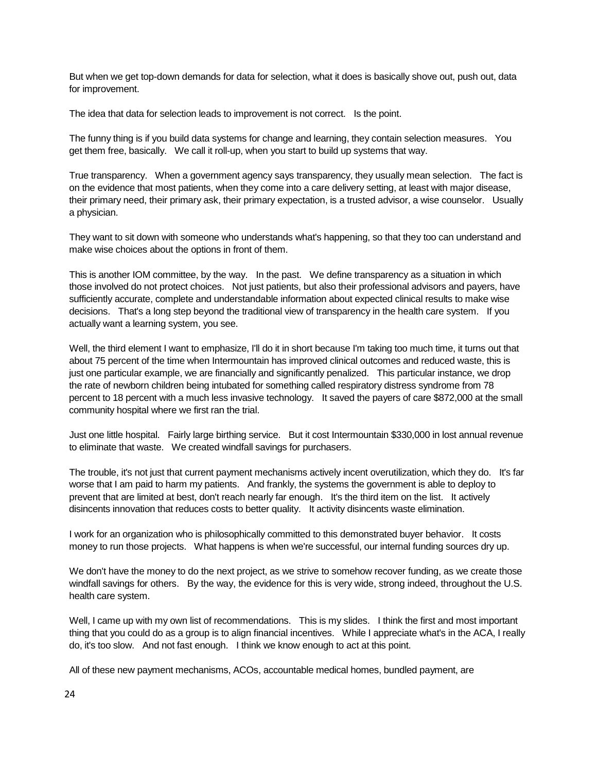But when we get top-down demands for data for selection, what it does is basically shove out, push out, data for improvement.

The idea that data for selection leads to improvement is not correct. Is the point.

The funny thing is if you build data systems for change and learning, they contain selection measures. You get them free, basically. We call it roll-up, when you start to build up systems that way.

True transparency. When a government agency says transparency, they usually mean selection. The fact is on the evidence that most patients, when they come into a care delivery setting, at least with major disease, their primary need, their primary ask, their primary expectation, is a trusted advisor, a wise counselor. Usually a physician.

They want to sit down with someone who understands what's happening, so that they too can understand and make wise choices about the options in front of them.

This is another IOM committee, by the way. In the past. We define transparency as a situation in which those involved do not protect choices. Not just patients, but also their professional advisors and payers, have sufficiently accurate, complete and understandable information about expected clinical results to make wise decisions. That's a long step beyond the traditional view of transparency in the health care system. If you actually want a learning system, you see.

Well, the third element I want to emphasize, I'll do it in short because I'm taking too much time, it turns out that about 75 percent of the time when Intermountain has improved clinical outcomes and reduced waste, this is just one particular example, we are financially and significantly penalized. This particular instance, we drop the rate of newborn children being intubated for something called respiratory distress syndrome from 78 percent to 18 percent with a much less invasive technology. It saved the payers of care \$872,000 at the small community hospital where we first ran the trial.

Just one little hospital. Fairly large birthing service. But it cost Intermountain \$330,000 in lost annual revenue to eliminate that waste. We created windfall savings for purchasers.

The trouble, it's not just that current payment mechanisms actively incent overutilization, which they do. It's far worse that I am paid to harm my patients. And frankly, the systems the government is able to deploy to prevent that are limited at best, don't reach nearly far enough. It's the third item on the list. It actively disincents innovation that reduces costs to better quality. It activity disincents waste elimination.

I work for an organization who is philosophically committed to this demonstrated buyer behavior. It costs money to run those projects. What happens is when we're successful, our internal funding sources dry up.

We don't have the money to do the next project, as we strive to somehow recover funding, as we create those windfall savings for others. By the way, the evidence for this is very wide, strong indeed, throughout the U.S. health care system.

Well, I came up with my own list of recommendations. This is my slides. I think the first and most important thing that you could do as a group is to align financial incentives. While I appreciate what's in the ACA, I really do, it's too slow. And not fast enough. I think we know enough to act at this point.

All of these new payment mechanisms, ACOs, accountable medical homes, bundled payment, are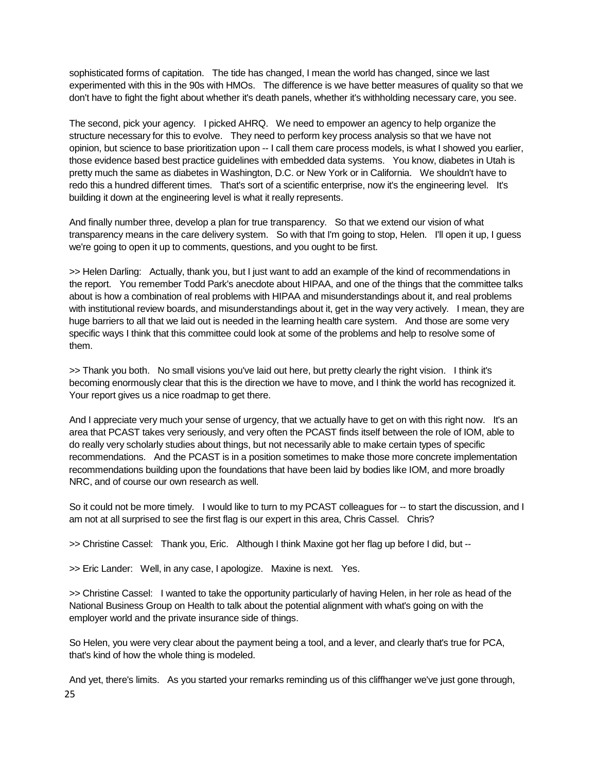sophisticated forms of capitation. The tide has changed, I mean the world has changed, since we last experimented with this in the 90s with HMOs. The difference is we have better measures of quality so that we don't have to fight the fight about whether it's death panels, whether it's withholding necessary care, you see.

The second, pick your agency. I picked AHRQ. We need to empower an agency to help organize the structure necessary for this to evolve. They need to perform key process analysis so that we have not opinion, but science to base prioritization upon -- I call them care process models, is what I showed you earlier, those evidence based best practice guidelines with embedded data systems. You know, diabetes in Utah is pretty much the same as diabetes in Washington, D.C. or New York or in California. We shouldn't have to redo this a hundred different times. That's sort of a scientific enterprise, now it's the engineering level. It's building it down at the engineering level is what it really represents.

And finally number three, develop a plan for true transparency. So that we extend our vision of what transparency means in the care delivery system. So with that I'm going to stop, Helen. I'll open it up, I guess we're going to open it up to comments, questions, and you ought to be first.

>> Helen Darling: Actually, thank you, but I just want to add an example of the kind of recommendations in the report. You remember Todd Park's anecdote about HIPAA, and one of the things that the committee talks about is how a combination of real problems with HIPAA and misunderstandings about it, and real problems with institutional review boards, and misunderstandings about it, get in the way very actively. I mean, they are huge barriers to all that we laid out is needed in the learning health care system. And those are some very specific ways I think that this committee could look at some of the problems and help to resolve some of them.

>> Thank you both. No small visions you've laid out here, but pretty clearly the right vision. I think it's becoming enormously clear that this is the direction we have to move, and I think the world has recognized it. Your report gives us a nice roadmap to get there.

And I appreciate very much your sense of urgency, that we actually have to get on with this right now. It's an area that PCAST takes very seriously, and very often the PCAST finds itself between the role of IOM, able to do really very scholarly studies about things, but not necessarily able to make certain types of specific recommendations. And the PCAST is in a position sometimes to make those more concrete implementation recommendations building upon the foundations that have been laid by bodies like IOM, and more broadly NRC, and of course our own research as well.

So it could not be more timely. I would like to turn to my PCAST colleagues for -- to start the discussion, and I am not at all surprised to see the first flag is our expert in this area, Chris Cassel. Chris?

>> Christine Cassel: Thank you, Eric. Although I think Maxine got her flag up before I did, but --

>> Eric Lander: Well, in any case, I apologize. Maxine is next. Yes.

>> Christine Cassel: I wanted to take the opportunity particularly of having Helen, in her role as head of the National Business Group on Health to talk about the potential alignment with what's going on with the employer world and the private insurance side of things.

So Helen, you were very clear about the payment being a tool, and a lever, and clearly that's true for PCA, that's kind of how the whole thing is modeled.

25 And yet, there's limits. As you started your remarks reminding us of this cliffhanger we've just gone through,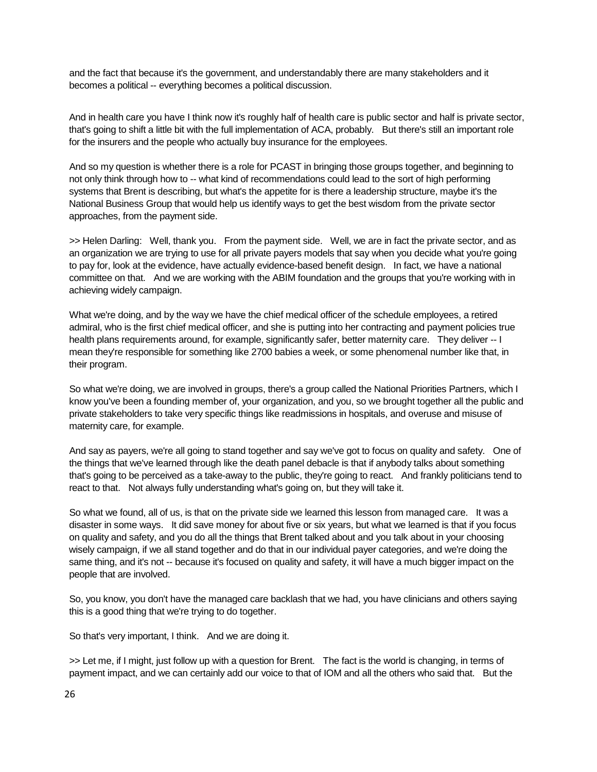and the fact that because it's the government, and understandably there are many stakeholders and it becomes a political -- everything becomes a political discussion.

And in health care you have I think now it's roughly half of health care is public sector and half is private sector, that's going to shift a little bit with the full implementation of ACA, probably. But there's still an important role for the insurers and the people who actually buy insurance for the employees.

And so my question is whether there is a role for PCAST in bringing those groups together, and beginning to not only think through how to -- what kind of recommendations could lead to the sort of high performing systems that Brent is describing, but what's the appetite for is there a leadership structure, maybe it's the National Business Group that would help us identify ways to get the best wisdom from the private sector approaches, from the payment side.

>> Helen Darling: Well, thank you. From the payment side. Well, we are in fact the private sector, and as an organization we are trying to use for all private payers models that say when you decide what you're going to pay for, look at the evidence, have actually evidence-based benefit design. In fact, we have a national committee on that. And we are working with the ABIM foundation and the groups that you're working with in achieving widely campaign.

What we're doing, and by the way we have the chief medical officer of the schedule employees, a retired admiral, who is the first chief medical officer, and she is putting into her contracting and payment policies true health plans requirements around, for example, significantly safer, better maternity care. They deliver -- I mean they're responsible for something like 2700 babies a week, or some phenomenal number like that, in their program.

So what we're doing, we are involved in groups, there's a group called the National Priorities Partners, which I know you've been a founding member of, your organization, and you, so we brought together all the public and private stakeholders to take very specific things like readmissions in hospitals, and overuse and misuse of maternity care, for example.

And say as payers, we're all going to stand together and say we've got to focus on quality and safety. One of the things that we've learned through like the death panel debacle is that if anybody talks about something that's going to be perceived as a take-away to the public, they're going to react. And frankly politicians tend to react to that. Not always fully understanding what's going on, but they will take it.

So what we found, all of us, is that on the private side we learned this lesson from managed care. It was a disaster in some ways. It did save money for about five or six years, but what we learned is that if you focus on quality and safety, and you do all the things that Brent talked about and you talk about in your choosing wisely campaign, if we all stand together and do that in our individual payer categories, and we're doing the same thing, and it's not -- because it's focused on quality and safety, it will have a much bigger impact on the people that are involved.

So, you know, you don't have the managed care backlash that we had, you have clinicians and others saying this is a good thing that we're trying to do together.

So that's very important, I think. And we are doing it.

>> Let me, if I might, just follow up with a question for Brent. The fact is the world is changing, in terms of payment impact, and we can certainly add our voice to that of IOM and all the others who said that. But the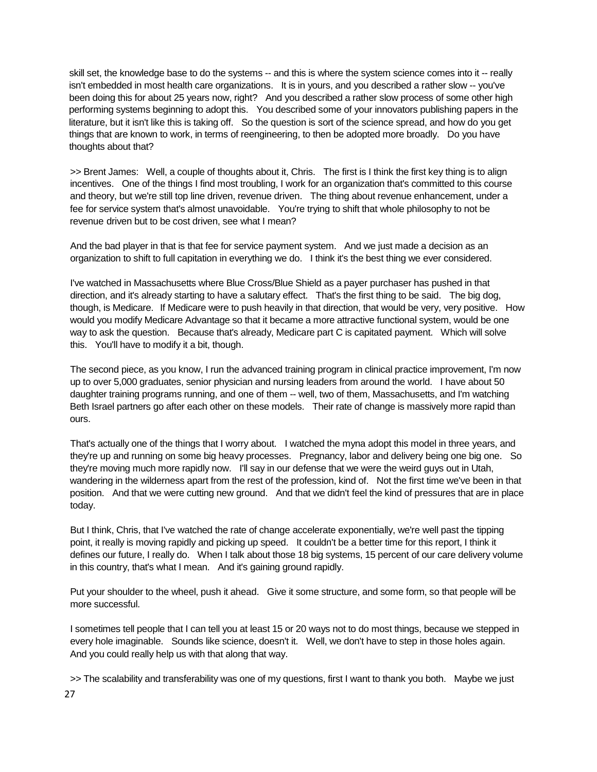skill set, the knowledge base to do the systems -- and this is where the system science comes into it -- really isn't embedded in most health care organizations. It is in yours, and you described a rather slow -- you've been doing this for about 25 years now, right? And you described a rather slow process of some other high performing systems beginning to adopt this. You described some of your innovators publishing papers in the literature, but it isn't like this is taking off. So the question is sort of the science spread, and how do you get things that are known to work, in terms of reengineering, to then be adopted more broadly. Do you have thoughts about that?

>> Brent James: Well, a couple of thoughts about it, Chris. The first is I think the first key thing is to align incentives. One of the things I find most troubling, I work for an organization that's committed to this course and theory, but we're still top line driven, revenue driven. The thing about revenue enhancement, under a fee for service system that's almost unavoidable. You're trying to shift that whole philosophy to not be revenue driven but to be cost driven, see what I mean?

And the bad player in that is that fee for service payment system. And we just made a decision as an organization to shift to full capitation in everything we do. I think it's the best thing we ever considered.

I've watched in Massachusetts where Blue Cross/Blue Shield as a payer purchaser has pushed in that direction, and it's already starting to have a salutary effect. That's the first thing to be said. The big dog, though, is Medicare. If Medicare were to push heavily in that direction, that would be very, very positive. How would you modify Medicare Advantage so that it became a more attractive functional system, would be one way to ask the question. Because that's already, Medicare part C is capitated payment. Which will solve this. You'll have to modify it a bit, though.

The second piece, as you know, I run the advanced training program in clinical practice improvement, I'm now up to over 5,000 graduates, senior physician and nursing leaders from around the world. I have about 50 daughter training programs running, and one of them -- well, two of them, Massachusetts, and I'm watching Beth Israel partners go after each other on these models. Their rate of change is massively more rapid than ours.

That's actually one of the things that I worry about. I watched the myna adopt this model in three years, and they're up and running on some big heavy processes. Pregnancy, labor and delivery being one big one. So they're moving much more rapidly now. I'll say in our defense that we were the weird guys out in Utah, wandering in the wilderness apart from the rest of the profession, kind of. Not the first time we've been in that position. And that we were cutting new ground. And that we didn't feel the kind of pressures that are in place today.

But I think, Chris, that I've watched the rate of change accelerate exponentially, we're well past the tipping point, it really is moving rapidly and picking up speed. It couldn't be a better time for this report, I think it defines our future, I really do. When I talk about those 18 big systems, 15 percent of our care delivery volume in this country, that's what I mean. And it's gaining ground rapidly.

Put your shoulder to the wheel, push it ahead. Give it some structure, and some form, so that people will be more successful.

I sometimes tell people that I can tell you at least 15 or 20 ways not to do most things, because we stepped in every hole imaginable. Sounds like science, doesn't it. Well, we don't have to step in those holes again. And you could really help us with that along that way.

27 >> The scalability and transferability was one of my questions, first I want to thank you both. Maybe we just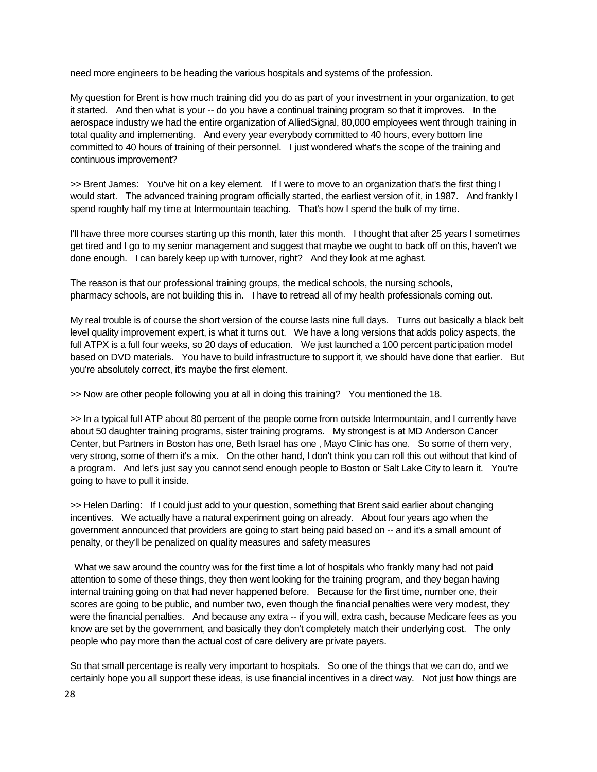need more engineers to be heading the various hospitals and systems of the profession.

My question for Brent is how much training did you do as part of your investment in your organization, to get it started. And then what is your -- do you have a continual training program so that it improves. In the aerospace industry we had the entire organization of AlliedSignal, 80,000 employees went through training in total quality and implementing. And every year everybody committed to 40 hours, every bottom line committed to 40 hours of training of their personnel. I just wondered what's the scope of the training and continuous improvement?

>> Brent James: You've hit on a key element. If I were to move to an organization that's the first thing I would start. The advanced training program officially started, the earliest version of it, in 1987. And frankly I spend roughly half my time at Intermountain teaching. That's how I spend the bulk of my time.

I'll have three more courses starting up this month, later this month. I thought that after 25 years I sometimes get tired and I go to my senior management and suggest that maybe we ought to back off on this, haven't we done enough. I can barely keep up with turnover, right? And they look at me aghast.

The reason is that our professional training groups, the medical schools, the nursing schools, pharmacy schools, are not building this in. I have to retread all of my health professionals coming out.

My real trouble is of course the short version of the course lasts nine full days. Turns out basically a black belt level quality improvement expert, is what it turns out. We have a long versions that adds policy aspects, the full ATPX is a full four weeks, so 20 days of education. We just launched a 100 percent participation model based on DVD materials. You have to build infrastructure to support it, we should have done that earlier. But you're absolutely correct, it's maybe the first element.

>> Now are other people following you at all in doing this training? You mentioned the 18.

>> In a typical full ATP about 80 percent of the people come from outside Intermountain, and I currently have about 50 daughter training programs, sister training programs. My strongest is at MD Anderson Cancer Center, but Partners in Boston has one, Beth Israel has one , Mayo Clinic has one. So some of them very, very strong, some of them it's a mix. On the other hand, I don't think you can roll this out without that kind of a program. And let's just say you cannot send enough people to Boston or Salt Lake City to learn it. You're going to have to pull it inside.

>> Helen Darling: If I could just add to your question, something that Brent said earlier about changing incentives. We actually have a natural experiment going on already. About four years ago when the government announced that providers are going to start being paid based on -- and it's a small amount of penalty, or they'll be penalized on quality measures and safety measures

What we saw around the country was for the first time a lot of hospitals who frankly many had not paid attention to some of these things, they then went looking for the training program, and they began having internal training going on that had never happened before. Because for the first time, number one, their scores are going to be public, and number two, even though the financial penalties were very modest, they were the financial penalties. And because any extra -- if you will, extra cash, because Medicare fees as you know are set by the government, and basically they don't completely match their underlying cost. The only people who pay more than the actual cost of care delivery are private payers.

So that small percentage is really very important to hospitals. So one of the things that we can do, and we certainly hope you all support these ideas, is use financial incentives in a direct way. Not just how things are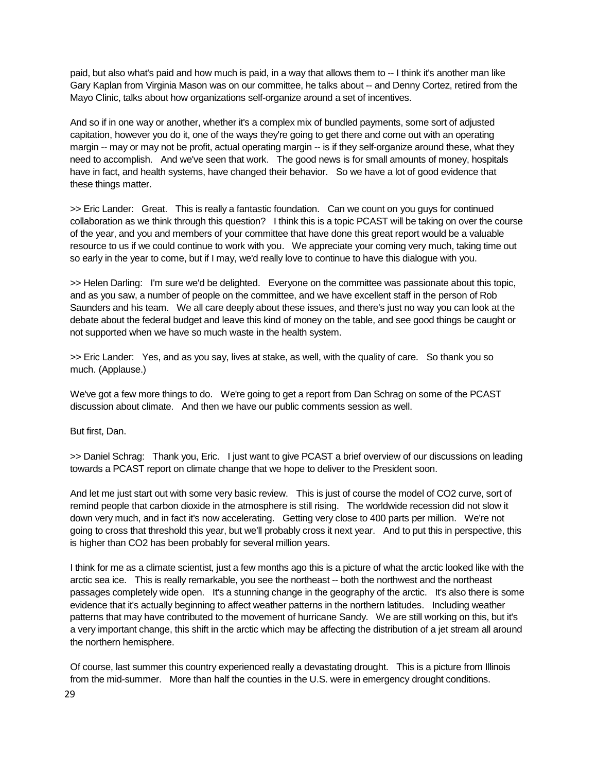paid, but also what's paid and how much is paid, in a way that allows them to -- I think it's another man like Gary Kaplan from Virginia Mason was on our committee, he talks about -- and Denny Cortez, retired from the Mayo Clinic, talks about how organizations self-organize around a set of incentives.

And so if in one way or another, whether it's a complex mix of bundled payments, some sort of adjusted capitation, however you do it, one of the ways they're going to get there and come out with an operating margin -- may or may not be profit, actual operating margin -- is if they self-organize around these, what they need to accomplish. And we've seen that work. The good news is for small amounts of money, hospitals have in fact, and health systems, have changed their behavior. So we have a lot of good evidence that these things matter.

>> Eric Lander: Great. This is really a fantastic foundation. Can we count on you guys for continued collaboration as we think through this question? I think this is a topic PCAST will be taking on over the course of the year, and you and members of your committee that have done this great report would be a valuable resource to us if we could continue to work with you. We appreciate your coming very much, taking time out so early in the year to come, but if I may, we'd really love to continue to have this dialogue with you.

>> Helen Darling: I'm sure we'd be delighted. Everyone on the committee was passionate about this topic, and as you saw, a number of people on the committee, and we have excellent staff in the person of Rob Saunders and his team. We all care deeply about these issues, and there's just no way you can look at the debate about the federal budget and leave this kind of money on the table, and see good things be caught or not supported when we have so much waste in the health system.

>> Eric Lander: Yes, and as you say, lives at stake, as well, with the quality of care. So thank you so much. (Applause.)

We've got a few more things to do. We're going to get a report from Dan Schrag on some of the PCAST discussion about climate. And then we have our public comments session as well.

But first, Dan.

>> Daniel Schrag: Thank you, Eric. I just want to give PCAST a brief overview of our discussions on leading towards a PCAST report on climate change that we hope to deliver to the President soon.

And let me just start out with some very basic review. This is just of course the model of CO2 curve, sort of remind people that carbon dioxide in the atmosphere is still rising. The worldwide recession did not slow it down very much, and in fact it's now accelerating. Getting very close to 400 parts per million. We're not going to cross that threshold this year, but we'll probably cross it next year. And to put this in perspective, this is higher than CO2 has been probably for several million years.

I think for me as a climate scientist, just a few months ago this is a picture of what the arctic looked like with the arctic sea ice. This is really remarkable, you see the northeast -- both the northwest and the northeast passages completely wide open. It's a stunning change in the geography of the arctic. It's also there is some evidence that it's actually beginning to affect weather patterns in the northern latitudes. Including weather patterns that may have contributed to the movement of hurricane Sandy. We are still working on this, but it's a very important change, this shift in the arctic which may be affecting the distribution of a jet stream all around the northern hemisphere.

Of course, last summer this country experienced really a devastating drought. This is a picture from Illinois from the mid-summer. More than half the counties in the U.S. were in emergency drought conditions.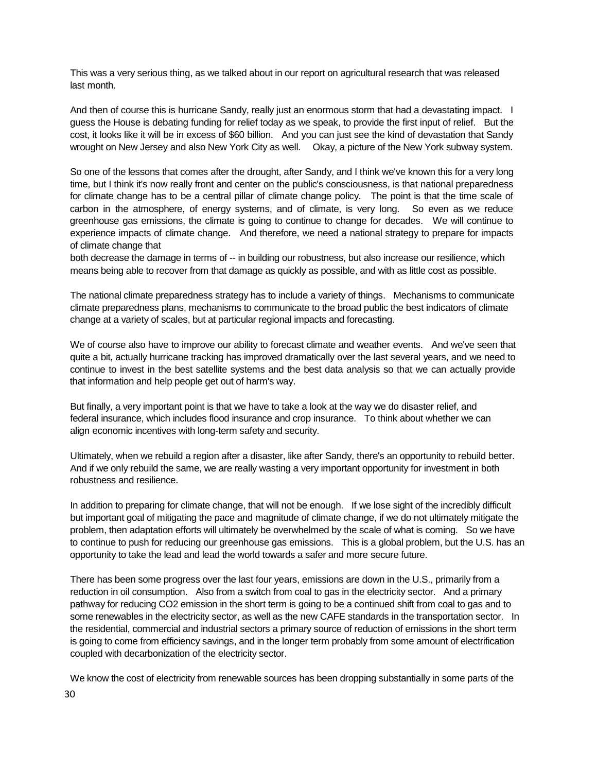This was a very serious thing, as we talked about in our report on agricultural research that was released last month.

And then of course this is hurricane Sandy, really just an enormous storm that had a devastating impact. I guess the House is debating funding for relief today as we speak, to provide the first input of relief. But the cost, it looks like it will be in excess of \$60 billion. And you can just see the kind of devastation that Sandy wrought on New Jersey and also New York City as well. Okay, a picture of the New York subway system.

So one of the lessons that comes after the drought, after Sandy, and I think we've known this for a very long time, but I think it's now really front and center on the public's consciousness, is that national preparedness for climate change has to be a central pillar of climate change policy. The point is that the time scale of carbon in the atmosphere, of energy systems, and of climate, is very long. So even as we reduce greenhouse gas emissions, the climate is going to continue to change for decades. We will continue to experience impacts of climate change. And therefore, we need a national strategy to prepare for impacts of climate change that

both decrease the damage in terms of -- in building our robustness, but also increase our resilience, which means being able to recover from that damage as quickly as possible, and with as little cost as possible.

The national climate preparedness strategy has to include a variety of things. Mechanisms to communicate climate preparedness plans, mechanisms to communicate to the broad public the best indicators of climate change at a variety of scales, but at particular regional impacts and forecasting.

We of course also have to improve our ability to forecast climate and weather events. And we've seen that quite a bit, actually hurricane tracking has improved dramatically over the last several years, and we need to continue to invest in the best satellite systems and the best data analysis so that we can actually provide that information and help people get out of harm's way.

But finally, a very important point is that we have to take a look at the way we do disaster relief, and federal insurance, which includes flood insurance and crop insurance. To think about whether we can align economic incentives with long-term safety and security.

Ultimately, when we rebuild a region after a disaster, like after Sandy, there's an opportunity to rebuild better. And if we only rebuild the same, we are really wasting a very important opportunity for investment in both robustness and resilience.

In addition to preparing for climate change, that will not be enough. If we lose sight of the incredibly difficult but important goal of mitigating the pace and magnitude of climate change, if we do not ultimately mitigate the problem, then adaptation efforts will ultimately be overwhelmed by the scale of what is coming. So we have to continue to push for reducing our greenhouse gas emissions. This is a global problem, but the U.S. has an opportunity to take the lead and lead the world towards a safer and more secure future.

There has been some progress over the last four years, emissions are down in the U.S., primarily from a reduction in oil consumption. Also from a switch from coal to gas in the electricity sector. And a primary pathway for reducing CO2 emission in the short term is going to be a continued shift from coal to gas and to some renewables in the electricity sector, as well as the new CAFE standards in the transportation sector. In the residential, commercial and industrial sectors a primary source of reduction of emissions in the short term is going to come from efficiency savings, and in the longer term probably from some amount of electrification coupled with decarbonization of the electricity sector.

We know the cost of electricity from renewable sources has been dropping substantially in some parts of the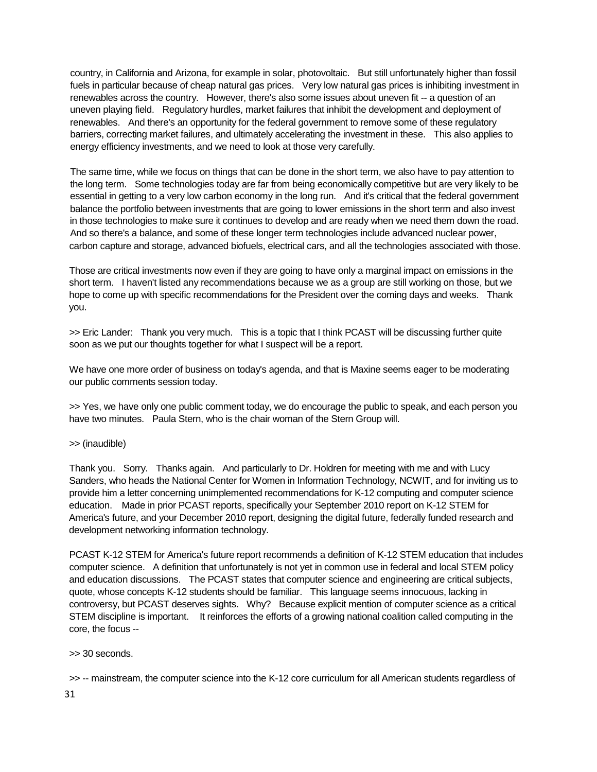country, in California and Arizona, for example in solar, photovoltaic. But still unfortunately higher than fossil fuels in particular because of cheap natural gas prices. Very low natural gas prices is inhibiting investment in renewables across the country. However, there's also some issues about uneven fit -- a question of an uneven playing field. Regulatory hurdles, market failures that inhibit the development and deployment of renewables. And there's an opportunity for the federal government to remove some of these regulatory barriers, correcting market failures, and ultimately accelerating the investment in these. This also applies to energy efficiency investments, and we need to look at those very carefully.

The same time, while we focus on things that can be done in the short term, we also have to pay attention to the long term. Some technologies today are far from being economically competitive but are very likely to be essential in getting to a very low carbon economy in the long run. And it's critical that the federal government balance the portfolio between investments that are going to lower emissions in the short term and also invest in those technologies to make sure it continues to develop and are ready when we need them down the road. And so there's a balance, and some of these longer term technologies include advanced nuclear power, carbon capture and storage, advanced biofuels, electrical cars, and all the technologies associated with those.

Those are critical investments now even if they are going to have only a marginal impact on emissions in the short term. I haven't listed any recommendations because we as a group are still working on those, but we hope to come up with specific recommendations for the President over the coming days and weeks. Thank you.

>> Eric Lander: Thank you very much. This is a topic that I think PCAST will be discussing further quite soon as we put our thoughts together for what I suspect will be a report.

We have one more order of business on today's agenda, and that is Maxine seems eager to be moderating our public comments session today.

>> Yes, we have only one public comment today, we do encourage the public to speak, and each person you have two minutes. Paula Stern, who is the chair woman of the Stern Group will.

## >> (inaudible)

Thank you. Sorry. Thanks again. And particularly to Dr. Holdren for meeting with me and with Lucy Sanders, who heads the National Center for Women in Information Technology, NCWIT, and for inviting us to provide him a letter concerning unimplemented recommendations for K-12 computing and computer science education. Made in prior PCAST reports, specifically your September 2010 report on K-12 STEM for America's future, and your December 2010 report, designing the digital future, federally funded research and development networking information technology.

PCAST K-12 STEM for America's future report recommends a definition of K-12 STEM education that includes computer science. A definition that unfortunately is not yet in common use in federal and local STEM policy and education discussions. The PCAST states that computer science and engineering are critical subjects, quote, whose concepts K-12 students should be familiar. This language seems innocuous, lacking in controversy, but PCAST deserves sights. Why? Because explicit mention of computer science as a critical STEM discipline is important. It reinforces the efforts of a growing national coalition called computing in the core, the focus --

## >> 30 seconds.

>> -- mainstream, the computer science into the K-12 core curriculum for all American students regardless of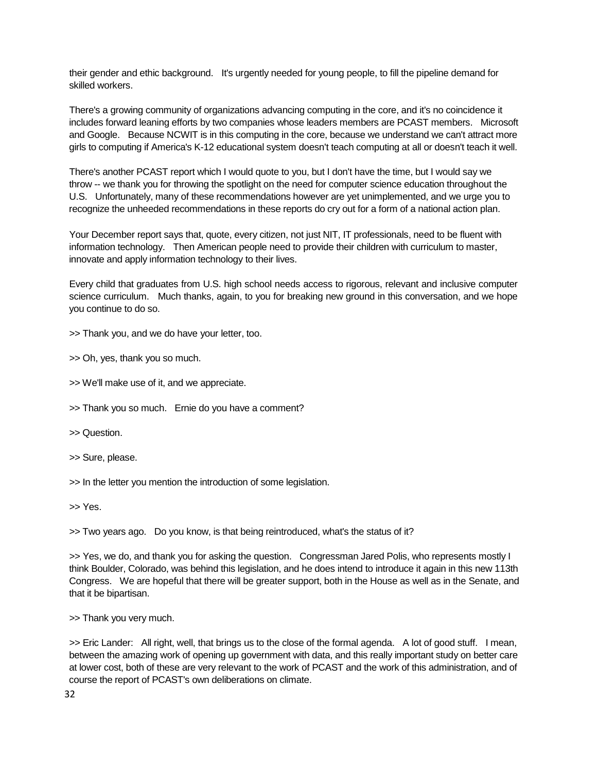their gender and ethic background. It's urgently needed for young people, to fill the pipeline demand for skilled workers.

There's a growing community of organizations advancing computing in the core, and it's no coincidence it includes forward leaning efforts by two companies whose leaders members are PCAST members. Microsoft and Google. Because NCWIT is in this computing in the core, because we understand we can't attract more girls to computing if America's K-12 educational system doesn't teach computing at all or doesn't teach it well.

There's another PCAST report which I would quote to you, but I don't have the time, but I would say we throw -- we thank you for throwing the spotlight on the need for computer science education throughout the U.S. Unfortunately, many of these recommendations however are yet unimplemented, and we urge you to recognize the unheeded recommendations in these reports do cry out for a form of a national action plan.

Your December report says that, quote, every citizen, not just NIT, IT professionals, need to be fluent with information technology. Then American people need to provide their children with curriculum to master, innovate and apply information technology to their lives.

Every child that graduates from U.S. high school needs access to rigorous, relevant and inclusive computer science curriculum. Much thanks, again, to you for breaking new ground in this conversation, and we hope you continue to do so.

>> Thank you, and we do have your letter, too.

>> Oh, yes, thank you so much.

>> We'll make use of it, and we appreciate.

>> Thank you so much. Ernie do you have a comment?

>> Question.

>> Sure, please.

>> In the letter you mention the introduction of some legislation.

>> Yes.

>> Two years ago. Do you know, is that being reintroduced, what's the status of it?

>> Yes, we do, and thank you for asking the question. Congressman Jared Polis, who represents mostly I think Boulder, Colorado, was behind this legislation, and he does intend to introduce it again in this new 113th Congress. We are hopeful that there will be greater support, both in the House as well as in the Senate, and that it be bipartisan.

>> Thank you very much.

>> Eric Lander: All right, well, that brings us to the close of the formal agenda. A lot of good stuff. I mean, between the amazing work of opening up government with data, and this really important study on better care at lower cost, both of these are very relevant to the work of PCAST and the work of this administration, and of course the report of PCAST's own deliberations on climate.